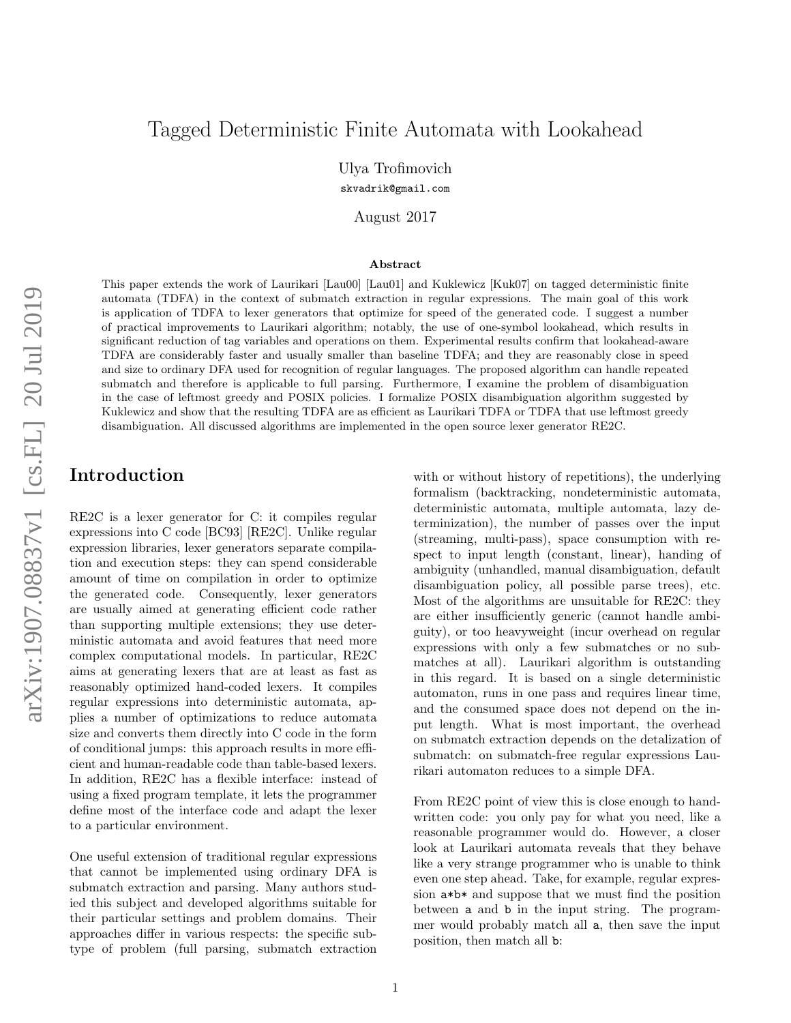# Tagged Deterministic Finite Automata with Lookahead

Ulya Trofimovich

skvadrik@gmail.com

August 2017

#### Abstract

This paper extends the work of Laurikari [Lau00] [Lau01] and Kuklewicz [Kuk07] on tagged deterministic finite automata (TDFA) in the context of submatch extraction in regular expressions. The main goal of this work is application of TDFA to lexer generators that optimize for speed of the generated code. I suggest a number of practical improvements to Laurikari algorithm; notably, the use of one-symbol lookahead, which results in significant reduction of tag variables and operations on them. Experimental results confirm that lookahead-aware TDFA are considerably faster and usually smaller than baseline TDFA; and they are reasonably close in speed and size to ordinary DFA used for recognition of regular languages. The proposed algorithm can handle repeated submatch and therefore is applicable to full parsing. Furthermore, I examine the problem of disambiguation in the case of leftmost greedy and POSIX policies. I formalize POSIX disambiguation algorithm suggested by Kuklewicz and show that the resulting TDFA are as efficient as Laurikari TDFA or TDFA that use leftmost greedy disambiguation. All discussed algorithms are implemented in the open source lexer generator RE2C.

## Introduction

RE2C is a lexer generator for C: it compiles regular expressions into C code [BC93] [RE2C]. Unlike regular expression libraries, lexer generators separate compilation and execution steps: they can spend considerable amount of time on compilation in order to optimize the generated code. Consequently, lexer generators are usually aimed at generating efficient code rather than supporting multiple extensions; they use deterministic automata and avoid features that need more complex computational models. In particular, RE2C aims at generating lexers that are at least as fast as reasonably optimized hand-coded lexers. It compiles regular expressions into deterministic automata, applies a number of optimizations to reduce automata size and converts them directly into C code in the form of conditional jumps: this approach results in more efficient and human-readable code than table-based lexers. In addition, RE2C has a flexible interface: instead of using a fixed program template, it lets the programmer define most of the interface code and adapt the lexer to a particular environment.

One useful extension of traditional regular expressions that cannot be implemented using ordinary DFA is submatch extraction and parsing. Many authors studied this subject and developed algorithms suitable for their particular settings and problem domains. Their approaches differ in various respects: the specific subtype of problem (full parsing, submatch extraction

with or without history of repetitions), the underlying formalism (backtracking, nondeterministic automata, deterministic automata, multiple automata, lazy determinization), the number of passes over the input (streaming, multi-pass), space consumption with respect to input length (constant, linear), handing of ambiguity (unhandled, manual disambiguation, default disambiguation policy, all possible parse trees), etc. Most of the algorithms are unsuitable for RE2C: they are either insufficiently generic (cannot handle ambiguity), or too heavyweight (incur overhead on regular expressions with only a few submatches or no submatches at all). Laurikari algorithm is outstanding in this regard. It is based on a single deterministic automaton, runs in one pass and requires linear time, and the consumed space does not depend on the input length. What is most important, the overhead on submatch extraction depends on the detalization of submatch: on submatch-free regular expressions Laurikari automaton reduces to a simple DFA.

From RE2C point of view this is close enough to handwritten code: you only pay for what you need, like a reasonable programmer would do. However, a closer look at Laurikari automata reveals that they behave like a very strange programmer who is unable to think even one step ahead. Take, for example, regular expression a\*b\* and suppose that we must find the position between a and b in the input string. The programmer would probably match all a, then save the input position, then match all b: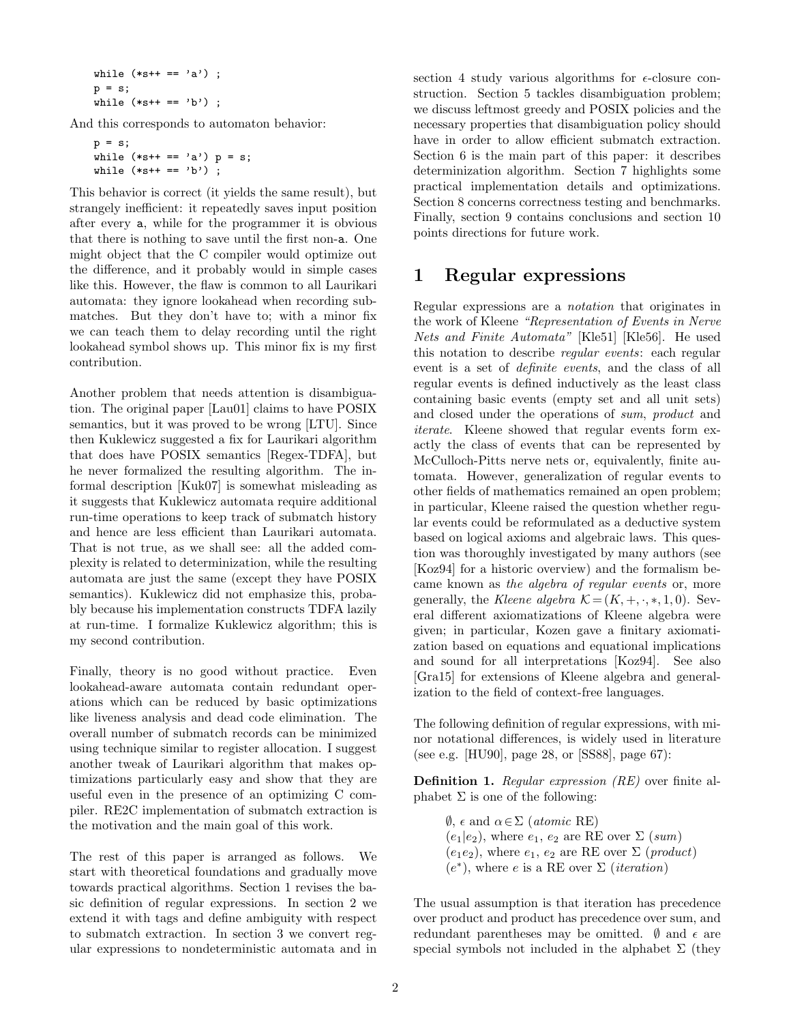```
while (**s++ == 'a') ;
p = s;while (**s++ == 'b') ;
```
And this corresponds to automaton behavior:

```
p = s;while (**s++ == 'a') p = s;while (**s++ == 'b') ;
```
This behavior is correct (it yields the same result), but strangely inefficient: it repeatedly saves input position after every a, while for the programmer it is obvious that there is nothing to save until the first non-a. One might object that the C compiler would optimize out the difference, and it probably would in simple cases like this. However, the flaw is common to all Laurikari automata: they ignore lookahead when recording submatches. But they don't have to; with a minor fix we can teach them to delay recording until the right lookahead symbol shows up. This minor fix is my first contribution.

Another problem that needs attention is disambiguation. The original paper [Lau01] claims to have POSIX semantics, but it was proved to be wrong [LTU]. Since then Kuklewicz suggested a fix for Laurikari algorithm that does have POSIX semantics [Regex-TDFA], but he never formalized the resulting algorithm. The informal description [Kuk07] is somewhat misleading as it suggests that Kuklewicz automata require additional run-time operations to keep track of submatch history and hence are less efficient than Laurikari automata. That is not true, as we shall see: all the added complexity is related to determinization, while the resulting automata are just the same (except they have POSIX semantics). Kuklewicz did not emphasize this, probably because his implementation constructs TDFA lazily at run-time. I formalize Kuklewicz algorithm; this is my second contribution.

Finally, theory is no good without practice. Even lookahead-aware automata contain redundant operations which can be reduced by basic optimizations like liveness analysis and dead code elimination. The overall number of submatch records can be minimized using technique similar to register allocation. I suggest another tweak of Laurikari algorithm that makes optimizations particularly easy and show that they are useful even in the presence of an optimizing C compiler. RE2C implementation of submatch extraction is the motivation and the main goal of this work.

The rest of this paper is arranged as follows. We start with theoretical foundations and gradually move towards practical algorithms. Section 1 revises the basic definition of regular expressions. In section 2 we extend it with tags and define ambiguity with respect to submatch extraction. In section 3 we convert regular expressions to nondeterministic automata and in

section 4 study various algorithms for  $\epsilon$ -closure construction. Section 5 tackles disambiguation problem; we discuss leftmost greedy and POSIX policies and the necessary properties that disambiguation policy should have in order to allow efficient submatch extraction. Section 6 is the main part of this paper: it describes determinization algorithm. Section 7 highlights some practical implementation details and optimizations. Section 8 concerns correctness testing and benchmarks. Finally, section 9 contains conclusions and section 10 points directions for future work.

## 1 Regular expressions

Regular expressions are a notation that originates in the work of Kleene "Representation of Events in Nerve Nets and Finite Automata" [Kle51] [Kle56]. He used this notation to describe regular events: each regular event is a set of definite events, and the class of all regular events is defined inductively as the least class containing basic events (empty set and all unit sets) and closed under the operations of sum, product and iterate. Kleene showed that regular events form exactly the class of events that can be represented by McCulloch-Pitts nerve nets or, equivalently, finite automata. However, generalization of regular events to other fields of mathematics remained an open problem; in particular, Kleene raised the question whether regular events could be reformulated as a deductive system based on logical axioms and algebraic laws. This question was thoroughly investigated by many authors (see [Koz94] for a historic overview) and the formalism became known as the algebra of regular events or, more generally, the Kleene algebra  $\mathcal{K} = (K, +, \cdot, *, 1, 0)$ . Several different axiomatizations of Kleene algebra were given; in particular, Kozen gave a finitary axiomatization based on equations and equational implications and sound for all interpretations [Koz94]. See also [Gra15] for extensions of Kleene algebra and generalization to the field of context-free languages.

The following definition of regular expressions, with minor notational differences, is widely used in literature (see e.g. [HU90], page 28, or [SS88], page 67):

Definition 1. Regular expression (RE) over finite alphabet  $\Sigma$  is one of the following:

> $\emptyset$ ,  $\epsilon$  and  $\alpha \in \Sigma$  (*atomic* RE)  $(e_1|e_2)$ , where  $e_1, e_2$  are RE over  $\Sigma$  (sum)  $(e_1e_2)$ , where  $e_1, e_2$  are RE over  $\Sigma$  (*product*)  $(e^*)$ , where e is a RE over  $\Sigma$  (*iteration*)

The usual assumption is that iteration has precedence over product and product has precedence over sum, and redundant parentheses may be omitted.  $\emptyset$  and  $\epsilon$  are special symbols not included in the alphabet  $\Sigma$  (they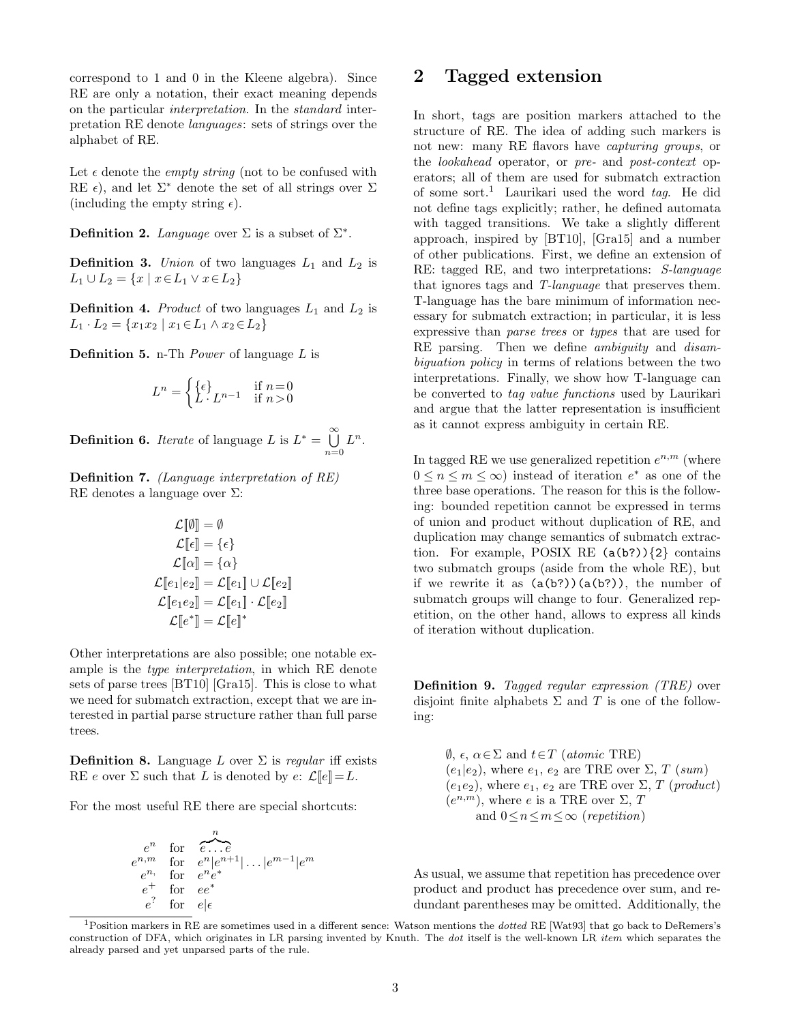correspond to 1 and 0 in the Kleene algebra). Since RE are only a notation, their exact meaning depends on the particular interpretation. In the standard interpretation RE denote languages: sets of strings over the alphabet of RE.

Let  $\epsilon$  denote the *empty string* (not to be confused with RE  $\epsilon$ ), and let  $\Sigma^*$  denote the set of all strings over  $\Sigma$ (including the empty string  $\epsilon$ ).

**Definition 2.** Language over  $\Sigma$  is a subset of  $\Sigma^*$ .

**Definition 3.** Union of two languages  $L_1$  and  $L_2$  is  $L_1 \cup L_2 = \{x \mid x \in L_1 \vee x \in L_2\}$ 

**Definition 4.** Product of two languages  $L_1$  and  $L_2$  is  $L_1 \cdot L_2 = \{x_1x_2 \mid x_1 \in L_1 \wedge x_2 \in L_2\}$ 

Definition 5. n-Th Power of language L is

$$
L^n = \begin{cases} \{ \epsilon \} & \text{if } n = 0 \\ L \cdot L^{n-1} & \text{if } n > 0 \end{cases}
$$

**Definition 6.** *Iterate* of language L is  $L^* = \bigcup_{i=1}^{\infty}$  $\bigcup_{n=0}L^n$ .

Definition 7. (Language interpretation of RE) RE denotes a language over Σ:

$$
\mathcal{L}[\![\emptyset]\!] = \emptyset
$$
\n
$$
\mathcal{L}[\![\epsilon]\!] = \{\epsilon\}
$$
\n
$$
\mathcal{L}[\![\alpha]\!] = \{\alpha\}
$$
\n
$$
\mathcal{L}[\![e_1|e_2]\!] = \mathcal{L}[\![e_1]\!] \cup \mathcal{L}[\![e_2]\!]
$$
\n
$$
\mathcal{L}[\![e_1e_2]\!] = \mathcal{L}[\![e_1]\!] \cdot \mathcal{L}[\![e_2]\!]
$$
\n
$$
\mathcal{L}[\![e^*]\!] = \mathcal{L}[\![e]\!]^*
$$

Other interpretations are also possible; one notable example is the type interpretation, in which RE denote sets of parse trees [BT10] [Gra15]. This is close to what we need for submatch extraction, except that we are interested in partial parse structure rather than full parse trees.

**Definition 8.** Language L over  $\Sigma$  is regular iff exists RE e over  $\Sigma$  such that L is denoted by  $e: \mathcal{L}[\![e]\!] = L$ .

For the most useful RE there are special shortcuts:

$$
e^n \n\begin{array}{r}\n\text{for } e \ldots e \\
e^{n,m} \quad \text{for } e^n | e^{n+1} | \ldots | e^{m-1} | e^m \\
e^n \quad \text{for } e^e^* \\
e^? \quad \text{for } e | \epsilon\n\end{array}
$$

## 2 Tagged extension

In short, tags are position markers attached to the structure of RE. The idea of adding such markers is not new: many RE flavors have *capturing groups*, or the lookahead operator, or pre- and post-context operators; all of them are used for submatch extraction of some sort.<sup>1</sup> Laurikari used the word tag. He did not define tags explicitly; rather, he defined automata with tagged transitions. We take a slightly different approach, inspired by [BT10], [Gra15] and a number of other publications. First, we define an extension of RE: tagged RE, and two interpretations: S-language that ignores tags and T-language that preserves them. T-language has the bare minimum of information necessary for submatch extraction; in particular, it is less expressive than parse trees or types that are used for RE parsing. Then we define *ambiguity* and *disam*biguation policy in terms of relations between the two interpretations. Finally, we show how T-language can be converted to tag value functions used by Laurikari and argue that the latter representation is insufficient as it cannot express ambiguity in certain RE.

In tagged RE we use generalized repetition  $e^{n,m}$  (where  $0 \leq n \leq m \leq \infty$  instead of iteration  $e^*$  as one of the three base operations. The reason for this is the following: bounded repetition cannot be expressed in terms of union and product without duplication of RE, and duplication may change semantics of submatch extraction. For example, POSIX RE  $(a(b?)$   $\{2\}$  contains two submatch groups (aside from the whole RE), but if we rewrite it as  $(a(b?))(a(b?))$ , the number of submatch groups will change to four. Generalized repetition, on the other hand, allows to express all kinds of iteration without duplication.

Definition 9. Tagged regular expression (TRE) over disjoint finite alphabets  $\Sigma$  and T is one of the following:

 $\emptyset$ ,  $\epsilon$ ,  $\alpha \in \Sigma$  and  $t \in T$  (*atomic* TRE)  $(e_1|e_2)$ , where  $e_1, e_2$  are TRE over  $\Sigma$ , T (sum)  $(e_1e_2)$ , where  $e_1, e_2$  are TRE over  $\Sigma$ , T (product)  $(e^{n,m})$ , where e is a TRE over  $\Sigma$ , T and  $0 \leq n \leq m \leq \infty$  (repetition)

As usual, we assume that repetition has precedence over product and product has precedence over sum, and redundant parentheses may be omitted. Additionally, the

 $1$ Position markers in RE are sometimes used in a different sence: Watson mentions the *dotted* RE [Wat93] that go back to DeRemers's construction of DFA, which originates in LR parsing invented by Knuth. The dot itself is the well-known LR item which separates the already parsed and yet unparsed parts of the rule.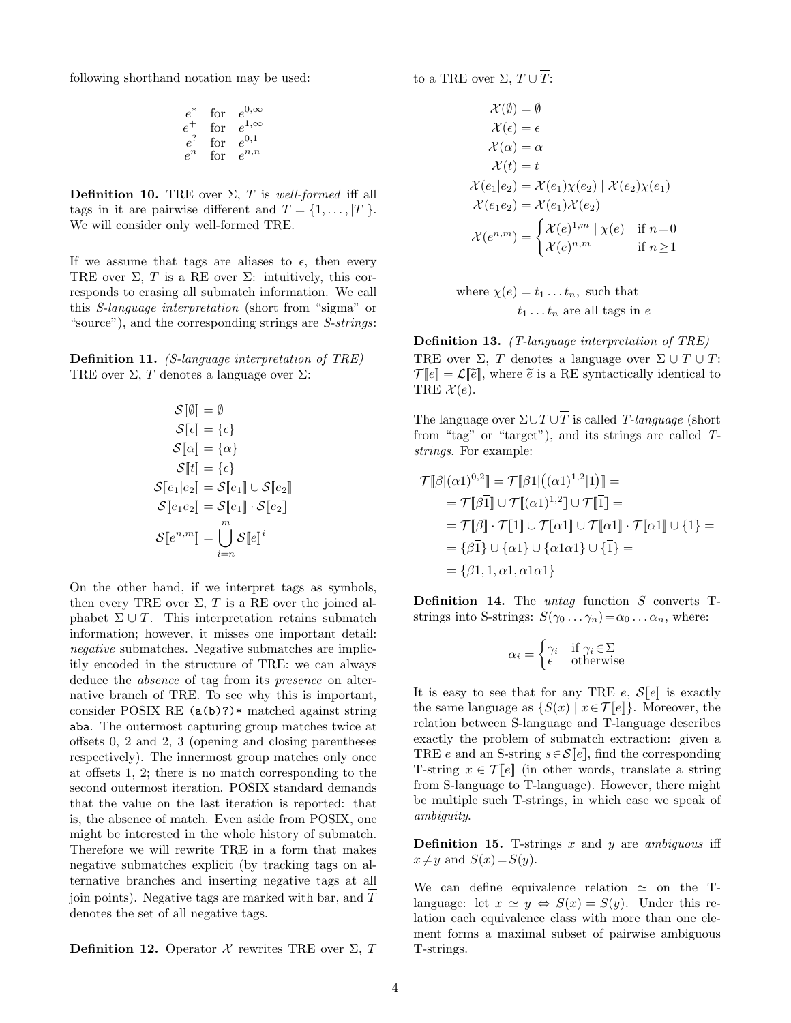following shorthand notation may be used:

$$
\begin{array}{ccc}\ne^* & \text{for} & e^{0,\infty} \\
e^+ & \text{for} & e^{1,\infty} \\
e^? & \text{for} & e^{0,1} \\
e^n & \text{for} & e^{n,n}\n\end{array}
$$

**Definition 10.** TRE over  $\Sigma$ , T is well-formed iff all tags in it are pairwise different and  $T = \{1, \ldots, |T|\}.$ We will consider only well-formed TRE.

If we assume that tags are aliases to  $\epsilon$ , then every TRE over  $\Sigma$ , T is a RE over  $\Sigma$ : intuitively, this corresponds to erasing all submatch information. We call this S-language interpretation (short from "sigma" or "source"), and the corresponding strings are  $S\text{-}strings$ :

Definition 11. (S-language interpretation of TRE) TRE over  $\Sigma$ , T denotes a language over  $\Sigma$ :

$$
\mathcal{S}[\![\emptyset]\!] = \emptyset
$$
  
\n
$$
\mathcal{S}[\![\epsilon]\!] = \{\epsilon\}
$$
  
\n
$$
\mathcal{S}[\![\alpha]\!] = \{\alpha\}
$$
  
\n
$$
\mathcal{S}[\![t]\!] = \{\epsilon\}
$$
  
\n
$$
\mathcal{S}[\![e_1|e_2]\!] = \mathcal{S}[\![e_1]\!] \cup \mathcal{S}[\![e_2]\!]
$$
  
\n
$$
\mathcal{S}[\![e_1e_2]\!] = \mathcal{S}[\![e_1]\!] \cdot \mathcal{S}[\![e_2]\!]
$$
  
\n
$$
\mathcal{S}[\![e^{n,m}]\!] = \bigcup_{i=n}^{m} \mathcal{S}[\![e]\!]^i
$$

On the other hand, if we interpret tags as symbols, then every TRE over  $\Sigma$ , T is a RE over the joined alphabet  $\Sigma \cup T$ . This interpretation retains submatch information; however, it misses one important detail: negative submatches. Negative submatches are implicitly encoded in the structure of TRE: we can always deduce the *absence* of tag from its *presence* on alternative branch of TRE. To see why this is important, consider POSIX RE  $(a(b)?)*$  matched against string aba. The outermost capturing group matches twice at offsets 0, 2 and 2, 3 (opening and closing parentheses respectively). The innermost group matches only once at offsets 1, 2; there is no match corresponding to the second outermost iteration. POSIX standard demands that the value on the last iteration is reported: that is, the absence of match. Even aside from POSIX, one might be interested in the whole history of submatch. Therefore we will rewrite TRE in a form that makes negative submatches explicit (by tracking tags on alternative branches and inserting negative tags at all join points). Negative tags are marked with bar, and T denotes the set of all negative tags.

**Definition 12.** Operator  $\mathcal X$  rewrites TRE over  $\Sigma$ , T

to a TRE over  $\Sigma$ ,  $T \cup \overline{T}$ :

$$
\mathcal{X}(\emptyset) = \emptyset
$$
  
\n
$$
\mathcal{X}(\epsilon) = \epsilon
$$
  
\n
$$
\mathcal{X}(\alpha) = \alpha
$$
  
\n
$$
\mathcal{X}(t) = t
$$
  
\n
$$
\mathcal{X}(e_1|e_2) = \mathcal{X}(e_1)\chi(e_2) | \mathcal{X}(e_2)\chi(e_1)
$$
  
\n
$$
\mathcal{X}(e_1e_2) = \mathcal{X}(e_1)\mathcal{X}(e_2)
$$
  
\n
$$
\mathcal{X}(e^{n,m}) = \begin{cases} \mathcal{X}(e)^{1,m} | \chi(e) & \text{if } n=0 \\ \mathcal{X}(e)^{n,m} & \text{if } n \ge 1 \end{cases}
$$

where 
$$
\chi(e) = \overline{t_1} \dots \overline{t_n}
$$
, such that  
 $t_1 \dots t_n$  are all tags in  $e$ 

Definition 13. (T-language interpretation of TRE) TRE over  $\Sigma$ , T denotes a language over  $\Sigma \cup T \cup T$ :  $\mathcal{T}[\![e]\!] = \mathcal{L}[\![\widetilde{e}]\!]$ , where  $\widetilde{e}$  is a RE syntactically identical to TRE  $\mathcal{X}(e)$ .

The language over  $\Sigma \cup T \cup \overline{T}$  is called T-language (short from "tag" or "target"), and its strings are called Tstrings. For example:

$$
\mathcal{T}[\beta](\alpha 1)^{0,2}] = \mathcal{T}[\beta \bar{1}]((\alpha 1)^{1,2}|\bar{1})] =
$$
  
\n
$$
= \mathcal{T}[\beta \bar{1}] \cup \mathcal{T}[(\alpha 1)^{1,2}] \cup \mathcal{T}[\bar{1}] =
$$
  
\n
$$
= \mathcal{T}[\beta] \cdot \mathcal{T}[\bar{1}] \cup \mathcal{T}[\alpha 1] \cup \mathcal{T}[\alpha 1] \cdot \mathcal{T}[\alpha 1] \cup \{\bar{1}\} =
$$
  
\n
$$
= \{\beta \bar{1}\} \cup \{\alpha 1\} \cup \{\alpha 1 \} \cup \{\bar{1}\} =
$$
  
\n
$$
= \{\beta \bar{1}, \bar{1}, \alpha 1, \alpha 1\alpha 1\}
$$

**Definition 14.** The *untag* function  $S$  converts Tstrings into S-strings:  $S(\gamma_0 \dots \gamma_n) = \alpha_0 \dots \alpha_n$ , where:

$$
\alpha_i = \begin{cases} \gamma_i & \text{if } \gamma_i \in \Sigma \\ \epsilon & \text{otherwise} \end{cases}
$$

It is easy to see that for any TRE e,  $\mathcal{S}[\![e]\!]$  is exactly the same language as  $\{S(x) \mid x \in \mathcal{T}[\ell]\}\$ . Moreover, the relation between S-language and T-language describes exactly the problem of submatch extraction: given a TRE e and an S-string  $s \in \mathcal{S}[[e]]$ , find the corresponding T-string  $x \in \mathcal{T}[e]$  (in other words, translate a string from S-language to T-language). However, there might be multiple such T-strings, in which case we speak of ambiguity.

**Definition 15.** T-strings  $x$  and  $y$  are ambiguous iff  $x \neq y$  and  $S(x)=S(y)$ .

We can define equivalence relation  $\simeq$  on the Tlanguage: let  $x \simeq y \Leftrightarrow S(x) = S(y)$ . Under this relation each equivalence class with more than one element forms a maximal subset of pairwise ambiguous T-strings.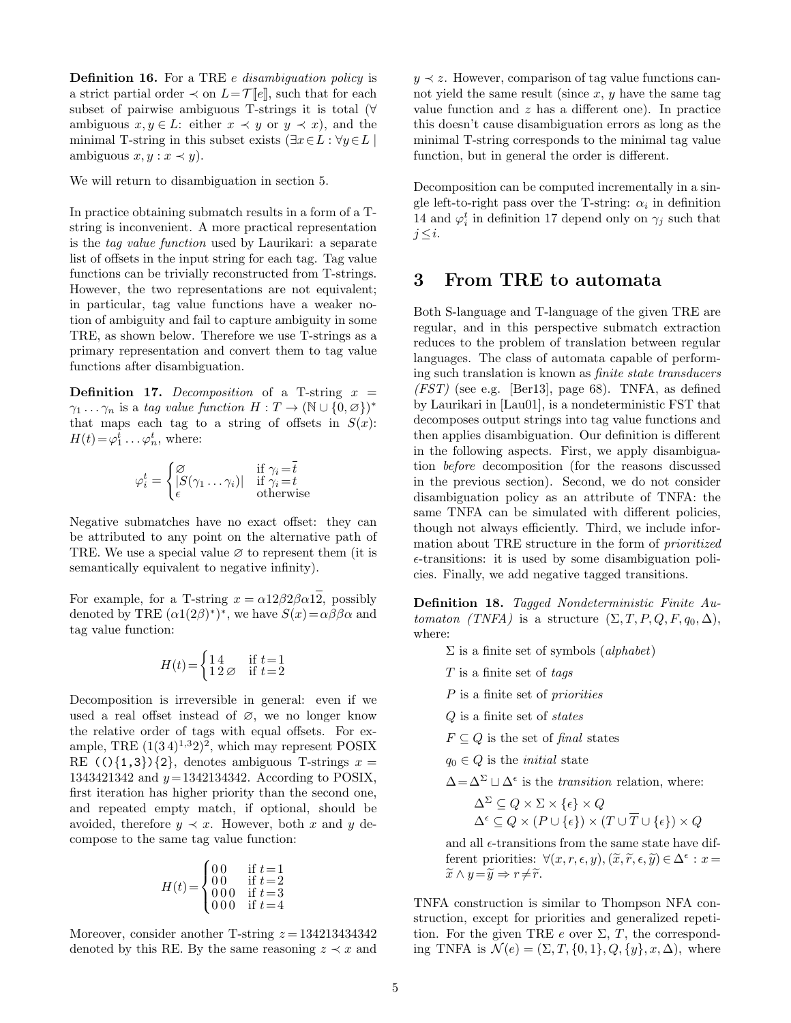Definition 16. For a TRE *e* disambiguation policy is a strict partial order  $\prec$  on  $L = \mathcal{T}[\![e]\!]$ , such that for each subset of pairwise ambiguous T-strings it is total (∀ ambiguous  $x, y \in L$ : either  $x \prec y$  or  $y \prec x$ , and the minimal T-string in this subset exists ( $\exists x \in L : \forall y \in L$ ) ambiguous  $x, y : x \prec y$ ).

We will return to disambiguation in section 5.

In practice obtaining submatch results in a form of a Tstring is inconvenient. A more practical representation is the tag value function used by Laurikari: a separate list of offsets in the input string for each tag. Tag value functions can be trivially reconstructed from T-strings. However, the two representations are not equivalent; in particular, tag value functions have a weaker notion of ambiguity and fail to capture ambiguity in some TRE, as shown below. Therefore we use T-strings as a primary representation and convert them to tag value functions after disambiguation.

**Definition 17.** Decomposition of a T-string  $x =$  $\gamma_1 \dots \gamma_n$  is a tag value function  $H: T \to (\mathbb{N} \cup \{0, \varnothing\})^*$ that maps each tag to a string of offsets in  $S(x)$ :  $H(t) = \varphi_1^t \dots \varphi_n^t$ , where:

$$
\varphi_i^t = \begin{cases} \varnothing & \text{if } \gamma_i = \bar{t} \\ |S(\gamma_1 \dots \gamma_i)| & \text{if } \gamma_i = t \\ \epsilon & \text{otherwise} \end{cases}
$$

Negative submatches have no exact offset: they can be attributed to any point on the alternative path of TRE. We use a special value  $\varnothing$  to represent them (it is semantically equivalent to negative infinity).

For example, for a T-string  $x = \alpha 12\beta 2\beta \alpha 12$ , possibly denoted by TRE  $(\alpha 1(2\beta)^*)^*$ , we have  $S(x) = \alpha \beta \beta \alpha$  and tag value function:

$$
H(t) = \begin{cases} 1 & \text{if } t = 1 \\ 1 & 2 \varnothing \end{cases}
$$
 if  $t = 2$ 

Decomposition is irreversible in general: even if we used a real offset instead of ∅, we no longer know the relative order of tags with equal offsets. For example, TRE  $(1(34)^{1,3}2)^2$ , which may represent POSIX RE  $(1,3)$  {2}, denotes ambiguous T-strings  $x =$ 1343421342 and  $y = 1342134342$ . According to POSIX, first iteration has higher priority than the second one, and repeated empty match, if optional, should be avoided, therefore  $y \prec x$ . However, both x and y decompose to the same tag value function:

$$
H(t) = \begin{cases} 0.0 & \text{if } t = 1 \\ 0.0 & \text{if } t = 2 \\ 0.00 & \text{if } t = 3 \\ 0.00 & \text{if } t = 4 \end{cases}
$$

Moreover, consider another T-string  $z = 134213434342$ denoted by this RE. By the same reasoning  $z \prec x$  and

 $y \prec z$ . However, comparison of tag value functions cannot yield the same result (since  $x, y$  have the same tag value function and  $z$  has a different one). In practice this doesn't cause disambiguation errors as long as the minimal T-string corresponds to the minimal tag value function, but in general the order is different.

Decomposition can be computed incrementally in a single left-to-right pass over the T-string:  $\alpha_i$  in definition 14 and  $\varphi_i^t$  in definition 17 depend only on  $\gamma_j$  such that  $j \leq i$ .

## 3 From TRE to automata

Both S-language and T-language of the given TRE are regular, and in this perspective submatch extraction reduces to the problem of translation between regular languages. The class of automata capable of performing such translation is known as finite state transducers  $(FST)$  (see e.g. [Ber13], page 68). TNFA, as defined by Laurikari in [Lau01], is a nondeterministic FST that decomposes output strings into tag value functions and then applies disambiguation. Our definition is different in the following aspects. First, we apply disambiguation before decomposition (for the reasons discussed in the previous section). Second, we do not consider disambiguation policy as an attribute of TNFA: the same TNFA can be simulated with different policies, though not always efficiently. Third, we include information about TRE structure in the form of prioritized  $\epsilon$ -transitions: it is used by some disambiguation policies. Finally, we add negative tagged transitions.

Definition 18. Tagged Nondeterministic Finite Automaton (TNFA) is a structure  $(\Sigma, T, P, Q, F, q_0, \Delta)$ , where:

- $\Sigma$  is a finite set of symbols (*alphabet*)
- $T$  is a finite set of tags
- P is a finite set of *priorities*
- Q is a finite set of states
- $F \subseteq Q$  is the set of final states

 $q_0 \in Q$  is the *initial* state

 $\Delta = \Delta^{\Sigma} \sqcup \Delta^{\epsilon}$  is the *transition* relation, where:

$$
\Delta^{\Sigma} \subseteq Q \times \Sigma \times \{\epsilon\} \times Q
$$
  

$$
\Delta^{\epsilon} \subseteq Q \times (P \cup \{\epsilon\}) \times (T \cup \overline{T} \cup \{\epsilon\}) \times Q
$$

and all  $\epsilon$ -transitions from the same state have different priorities:  $\forall (x, r, \epsilon, y), (\tilde{x}, \tilde{r}, \epsilon, \tilde{y}) \in \Delta^{\epsilon}: x =$ <br> $\tilde{x} \wedge u - \tilde{u} \rightarrow r \neq \tilde{x}$  $\widetilde{x} \wedge y = \widetilde{y} \Rightarrow r \neq \widetilde{r}.$ 

TNFA construction is similar to Thompson NFA construction, except for priorities and generalized repetition. For the given TRE e over  $\Sigma$ , T, the corresponding TNFA is  $\mathcal{N}(e) = (\Sigma, T, \{0, 1\}, Q, \{y\}, x, \Delta)$ , where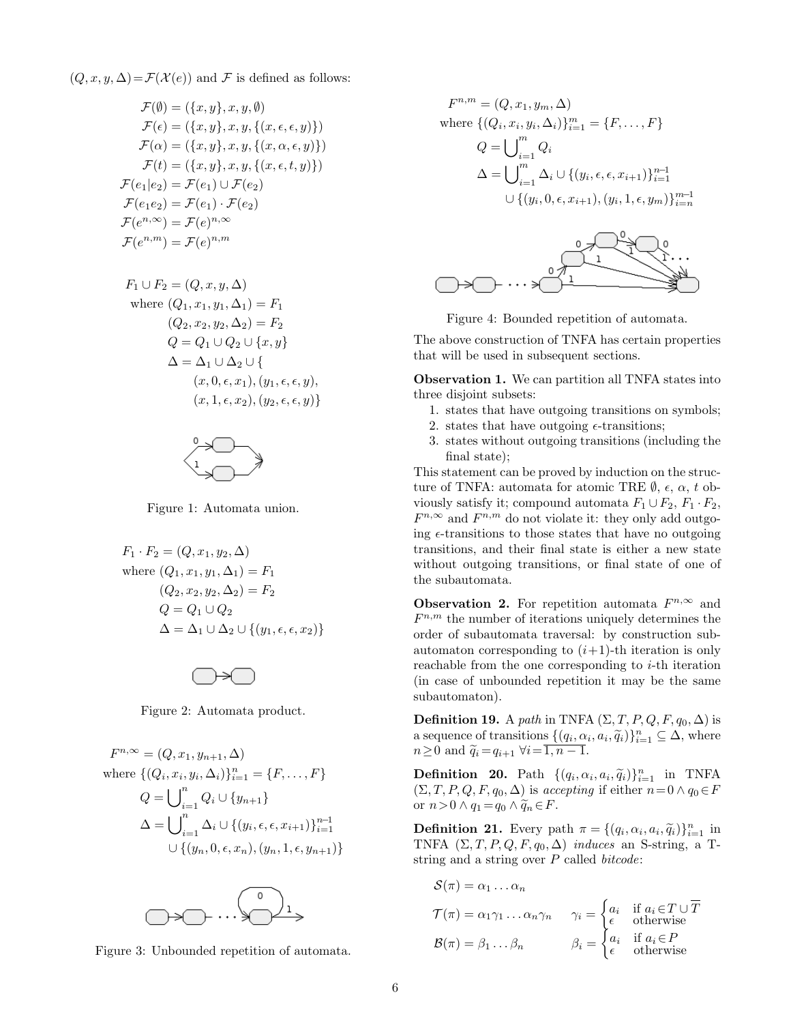$(Q, x, y, \Delta) = \mathcal{F}(\mathcal{X}(e))$  and F is defined as follows:

$$
\mathcal{F}(\emptyset) = (\{x, y\}, x, y, \emptyset)
$$
  
\n
$$
\mathcal{F}(\epsilon) = (\{x, y\}, x, y, \{(x, \epsilon, \epsilon, y)\})
$$
  
\n
$$
\mathcal{F}(\alpha) = (\{x, y\}, x, y, \{(x, \alpha, \epsilon, y)\})
$$
  
\n
$$
\mathcal{F}(t) = (\{x, y\}, x, y, \{(x, \epsilon, t, y)\})
$$
  
\n
$$
\mathcal{F}(e_1|e_2) = \mathcal{F}(e_1) \cup \mathcal{F}(e_2)
$$
  
\n
$$
\mathcal{F}(e_1e_2) = \mathcal{F}(e_1) \cdot \mathcal{F}(e_2)
$$
  
\n
$$
\mathcal{F}(e^{n, \infty}) = \mathcal{F}(e)^{n, \infty}
$$
  
\n
$$
\mathcal{F}(e^{n, m}) = \mathcal{F}(e)^{n, m}
$$

F<sup>1</sup> ∪ F<sup>2</sup> = (Q, x, y, ∆) where (Q1, x1, y1, ∆1) = F<sup>1</sup> (Q2, x2, y2, ∆2) = F<sup>2</sup> Q = Q<sup>1</sup> ∪ Q<sup>2</sup> ∪ {x, y} ∆ = ∆<sup>1</sup> ∪ ∆<sup>2</sup> ∪ { (x, 0, , x1),(y1, , , y), (x, 1, , x2),(y2, , , y)}



Figure 1: Automata union.

$$
F_1 \cdot F_2 = (Q, x_1, y_2, \Delta)
$$
  
where  $(Q_1, x_1, y_1, \Delta_1) = F_1$   
 $(Q_2, x_2, y_2, \Delta_2) = F_2$   
 $Q = Q_1 \cup Q_2$   
 $\Delta = \Delta_1 \cup \Delta_2 \cup \{(y_1, \epsilon, \epsilon, x_2)\}$ 



Figure 2: Automata product.

$$
F^{n,\infty} = (Q, x_1, y_{n+1}, \Delta)
$$
  
where  $\{(Q_i, x_i, y_i, \Delta_i)\}_{i=1}^n = \{F, ..., F\}$   

$$
Q = \bigcup_{i=1}^n Q_i \cup \{y_{n+1}\}
$$
  

$$
\Delta = \bigcup_{i=1}^n \Delta_i \cup \{(y_i, \epsilon, \epsilon, x_{i+1})\}_{i=1}^{n-1}
$$
  

$$
\cup \{(y_n, 0, \epsilon, x_n), (y_n, 1, \epsilon, y_{n+1})\}
$$



Figure 3: Unbounded repetition of automata.

$$
F^{n,m} = (Q, x_1, y_m, \Delta)
$$
  
where  $\{(Q_i, x_i, y_i, \Delta_i)\}_{i=1}^m = \{F, ..., F\}$   

$$
Q = \bigcup_{i=1}^m Q_i
$$
  

$$
\Delta = \bigcup_{i=1}^m \Delta_i \cup \{(y_i, \epsilon, \epsilon, x_{i+1})\}_{i=1}^{n-1}
$$
  

$$
\cup \{(y_i, 0, \epsilon, x_{i+1}), (y_i, 1, \epsilon, y_m)\}_{i=n}^{m-1}
$$



The above construction of TNFA has certain properties that will be used in subsequent sections.

Observation 1. We can partition all TNFA states into three disjoint subsets:

- 1. states that have outgoing transitions on symbols;
- 2. states that have outgoing  $\epsilon$ -transitions;
- 3. states without outgoing transitions (including the final state);

This statement can be proved by induction on the structure of TNFA: automata for atomic TRE  $\emptyset$ ,  $\epsilon$ ,  $\alpha$ ,  $t$  obviously satisfy it; compound automata  $F_1 \cup F_2$ ,  $F_1 \cdot F_2$ ,  $F^{n,\infty}$  and  $F^{n,m}$  do not violate it: they only add outgoing  $\epsilon$ -transitions to those states that have no outgoing transitions, and their final state is either a new state without outgoing transitions, or final state of one of the subautomata.

**Observation 2.** For repetition automata  $F^{n,\infty}$  and  $F^{n,m}$  the number of iterations uniquely determines the order of subautomata traversal: by construction subautomaton corresponding to  $(i+1)$ -th iteration is only reachable from the one corresponding to i-th iteration (in case of unbounded repetition it may be the same subautomaton).

**Definition 19.** A path in TNFA  $(\Sigma, T, P, Q, F, q_0, \Delta)$  is a sequence of transitions  $\{(q_i, \alpha_i, \tilde{q}_i)\}_{i=1}^n \subseteq \Delta$ , where  $n\geq 0$  and  $\widetilde{q}_i = q_{i+1} \ \forall i = \overline{1, n-1}.$ 

**Definition 20.** Path  $\{(q_i, \alpha_i, a_i, \tilde{q}_i)\}_{i=1}^n$  in TNFA<br>  $(\sum T P Q F q_i, \Delta)$  is accepting if other  $n = 0 \Delta q_i \in E$  $(\Sigma, T, P, Q, F, q_0, \Delta)$  is accepting if either  $n = 0 \wedge q_0 \in F$ or  $n>0 \wedge q_1 = q_0 \wedge \widetilde{q}_n \in F$ .

**Definition 21.** Every path  $\pi = \{(q_i, \alpha_i, a_i, \tilde{q}_i)\}_{i=1}^n$  in TNFA  $(\Sigma, T, P, Q, F, q_0, \Delta)$  induces an S-string, a Tstring and a string over  $P$  called *bitcode*:

$$
\mathcal{S}(\pi) = \alpha_1 \dots \alpha_n
$$
  
\n
$$
\mathcal{T}(\pi) = \alpha_1 \gamma_1 \dots \alpha_n \gamma_n
$$
 
$$
\gamma_i = \begin{cases} a_i & \text{if } a_i \in T \cup \overline{T} \\ \epsilon & \text{otherwise} \end{cases}
$$
  
\n
$$
\mathcal{B}(\pi) = \beta_1 \dots \beta_n
$$
 
$$
\beta_i = \begin{cases} a_i & \text{if } a_i \in P \\ \epsilon & \text{otherwise} \end{cases}
$$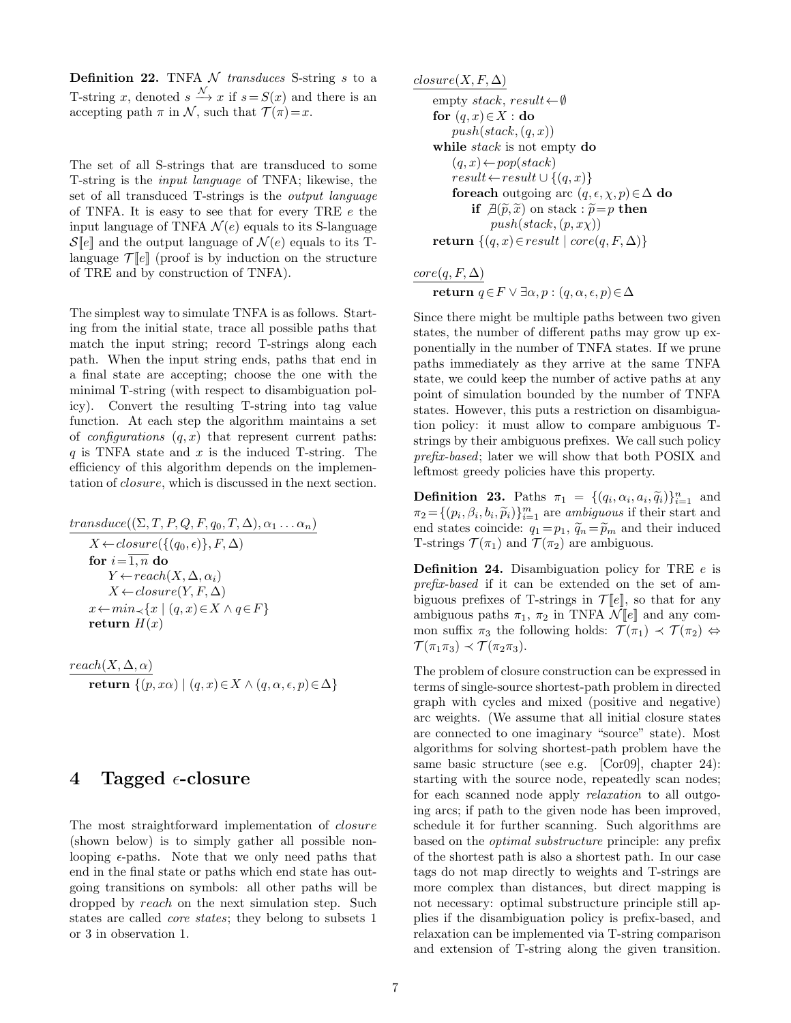**Definition 22.** TNFA  $\mathcal N$  transduces S-string s to a T-string x, denoted  $s \stackrel{\mathcal{N}}{\longrightarrow} x$  if  $s = S(x)$  and there is an accepting path  $\pi$  in N, such that  $\mathcal{T}(\pi)=x$ .

The set of all S-strings that are transduced to some T-string is the input language of TNFA; likewise, the set of all transduced T-strings is the output language of TNFA. It is easy to see that for every TRE  $e$  the input language of TNFA  $\mathcal{N}(e)$  equals to its S-language  $\mathcal{S}[\![e]\!]$  and the output language of  $\mathcal{N}(e)$  equals to its Tlanguage  $\mathcal{T}[\![e]\!]$  (proof is by induction on the structure of TRE and by construction of TNFA).

The simplest way to simulate TNFA is as follows. Starting from the initial state, trace all possible paths that match the input string; record T-strings along each path. When the input string ends, paths that end in a final state are accepting; choose the one with the minimal T-string (with respect to disambiguation policy). Convert the resulting T-string into tag value function. At each step the algorithm maintains a set of *configurations*  $(q, x)$  that represent current paths: q is TNFA state and  $x$  is the induced T-string. The efficiency of this algorithm depends on the implementation of closure, which is discussed in the next section.

$$
\frac{transduce((\Sigma, T, P, Q, F, q_0, T, \Delta), \alpha_1 \dots \alpha_n)}{X \leftarrow closure(\{(q_0, \epsilon)\}, F, \Delta)}
$$
\nfor *i* = 1, n do\n
$$
Y \leftarrow reach(X, \Delta, \alpha_i)
$$
\n
$$
X \leftarrow closure(Y, F, \Delta)
$$
\n
$$
x \leftarrow min_{\prec} \{x \mid (q, x) \in X \land q \in F\}
$$
\nreturn *H*(*x*)

 $reach(X, \Delta, \alpha)$ return  $\{(p, x\alpha) \mid (q, x) \in X \land (q, \alpha, \epsilon, p) \in \Delta\}$ 

## 4 Tagged  $\epsilon$ -closure

The most straightforward implementation of closure (shown below) is to simply gather all possible nonlooping  $\epsilon$ -paths. Note that we only need paths that end in the final state or paths which end state has outgoing transitions on symbols: all other paths will be dropped by reach on the next simulation step. Such states are called core states; they belong to subsets 1 or 3 in observation 1.

$$
\underline{closure(X, F, \Delta)}
$$

```
empty stack, result\leftarrow \emptysetfor (q, x) \in X : do
    push(state, (q, x))while stack is not empty do
     (q, x) \leftarrow pop(state)result \leftarrow result \cup \{(q, x)\}\foreach outgoing arc (q, \epsilon, \chi, p) \in \Delta do
          if \mathcal{A}(\widetilde{p}, \widetilde{x}) on stack : \widetilde{p} = p then
               push(state, (p, x\chi))return \{(q, x) \in result \mid core(q, F, \Delta)\}\
```
### $core(q, F, \Delta)$ return  $q ∈ F ∨ ∃α, p : (q, α, ε, p) ∈ ∆$

Since there might be multiple paths between two given states, the number of different paths may grow up exponentially in the number of TNFA states. If we prune paths immediately as they arrive at the same TNFA state, we could keep the number of active paths at any point of simulation bounded by the number of TNFA states. However, this puts a restriction on disambiguation policy: it must allow to compare ambiguous Tstrings by their ambiguous prefixes. We call such policy prefix-based; later we will show that both POSIX and leftmost greedy policies have this property.

**Definition 23.** Paths  $\pi_1 = \{(q_i, \alpha_i, a_i, \tilde{q}_i)\}_{i=1}^n$  and  $\pi_i = \{(p_i, \beta_i, b_i, \tilde{q}_i)\}_{i=1}^m$  and  $\pi_i = \{(q_i, \beta_i, b_i, \tilde{q}_i)\}_{i=1}^m$  $\pi_2 = \{ (p_i, \beta_i, b_i, \tilde{p}_i) \}_{i=1}^m$  are ambiguous if their start and<br>and states opinions  $\tilde{a} = \tilde{a} - \tilde{a}$  and their induced end states coincide:  $q_1 = p_1$ ,  $\widetilde{q}_n = \widetilde{p}_m$  and their induced T-strings  $\mathcal{T}(\pi_1)$  and  $\mathcal{T}(\pi_2)$  are ambiguous.

**Definition 24.** Disambiguation policy for TRE  $e$  is prefix-based if it can be extended on the set of ambiguous prefixes of T-strings in  $\mathcal{T}[e]$ , so that for any ambiguous paths  $\pi_1$ ,  $\pi_2$  in TNFA  $\mathcal{N}[\![e]\!]$  and any common suffix  $\pi_3$  the following holds:  $\mathcal{T}(\pi_1) \prec \mathcal{T}(\pi_2) \Leftrightarrow$  $\mathcal{T}(\pi_1\pi_3) \prec \mathcal{T}(\pi_2\pi_3).$ 

The problem of closure construction can be expressed in terms of single-source shortest-path problem in directed graph with cycles and mixed (positive and negative) arc weights. (We assume that all initial closure states are connected to one imaginary "source" state). Most algorithms for solving shortest-path problem have the same basic structure (see e.g. [Cor09], chapter 24): starting with the source node, repeatedly scan nodes; for each scanned node apply *relaxation* to all outgoing arcs; if path to the given node has been improved, schedule it for further scanning. Such algorithms are based on the optimal substructure principle: any prefix of the shortest path is also a shortest path. In our case tags do not map directly to weights and T-strings are more complex than distances, but direct mapping is not necessary: optimal substructure principle still applies if the disambiguation policy is prefix-based, and relaxation can be implemented via T-string comparison and extension of T-string along the given transition.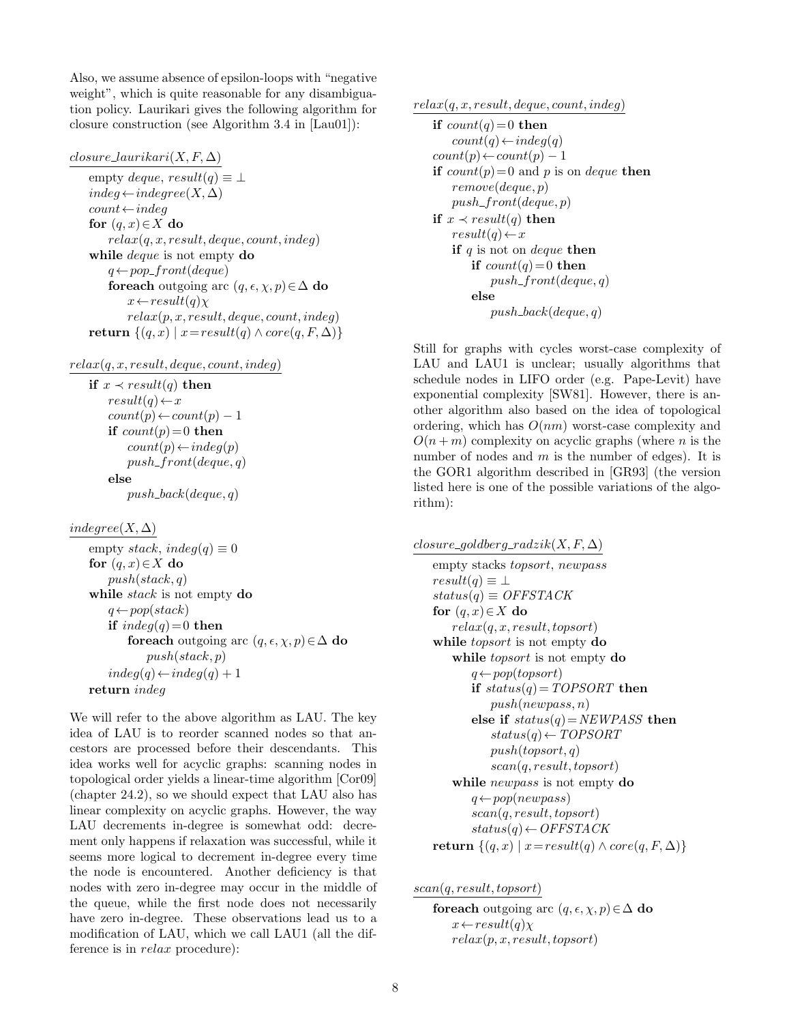Also, we assume absence of epsilon-loops with "negative weight", which is quite reasonable for any disambiguation policy. Laurikari gives the following algorithm for closure construction (see Algorithm 3.4 in [Lau01]):

#### $closure\_laurikari(X, F, \Delta)$

empty deque,  $result(q) \equiv \perp$  $indeg \leftarrow indegree(X, \Delta)$  $count \leftarrow indeg$ for  $(q, x) \in X$  do  $relax(q, x, result, deque, count, indeg)$ while *deque* is not empty **do**  $q \leftarrow pop\_front(deque)$ foreach outgoing arc  $(q, \epsilon, \chi, p) \in \Delta$  do  $x \leftarrow result(q)\chi$  $relax(p, x, result, deque, count, indeq)$ return  $\{(q, x) | x = result(q) \land core(q, F, \Delta)\}\$ 

 $relax(q, x, result, deque, count, indeg)$ 

if  $x \prec result(q)$  then  $result(q) \leftarrow x$  $count(p) \leftarrow count(p) - 1$ if  $count(p)=0$  then  $count(p) \leftarrow indeq(p)$  $push\_front(deque, q)$ else

 $push\_back(deque, q)$ 

 $indegree(X, \Delta)$ 

empty stack, indeg(q)  $\equiv 0$ for  $(q, x) \in X$  do  $push(state, q)$ while *stack* is not empty do  $q \leftarrow pop(state)$ if  $indeg(q) = 0$  then foreach outgoing arc  $(q, \epsilon, \chi, p) \in \Delta$  do  $push(state, p)$  $indeg(q)$  ←  $indeg(q) + 1$ return indeg

We will refer to the above algorithm as LAU. The key idea of LAU is to reorder scanned nodes so that ancestors are processed before their descendants. This idea works well for acyclic graphs: scanning nodes in topological order yields a linear-time algorithm [Cor09] (chapter 24.2), so we should expect that LAU also has linear complexity on acyclic graphs. However, the way LAU decrements in-degree is somewhat odd: decrement only happens if relaxation was successful, while it seems more logical to decrement in-degree every time the node is encountered. Another deficiency is that nodes with zero in-degree may occur in the middle of the queue, while the first node does not necessarily have zero in-degree. These observations lead us to a modification of LAU, which we call LAU1 (all the difference is in relax procedure):

 $relax(q, x, result, deque, count, indeg)$ 

```
if count(q) = 0 then
   count(q) \leftarrow indeg(q)count(p) \leftarrow count(p) - 1if count(p)=0 and p is on deque then
   remove(deque, p)
   push\_front(deque, p)if x \prec result(q) then
   result(q) \leftarrow xif q is not on deque then
       if count(q) = 0 then
           push\_front(deque, q)else
           push\_back(deque, q)
```
Still for graphs with cycles worst-case complexity of LAU and LAU1 is unclear; usually algorithms that schedule nodes in LIFO order (e.g. Pape-Levit) have exponential complexity [SW81]. However, there is another algorithm also based on the idea of topological ordering, which has  $O(nm)$  worst-case complexity and  $O(n+m)$  complexity on acyclic graphs (where n is the number of nodes and  $m$  is the number of edges). It is the GOR1 algorithm described in [GR93] (the version listed here is one of the possible variations of the algorithm):

 $closure\_goldberg\_radzik(X, F, \Delta)$ 

```
empty stacks topsort, newpass
result(q) \equiv \perpstatus(q) \equiv OFFSTACKfor (q, x) \in X do
   relax(q, x, result, to post)while topsort is not empty do
   while topsort is not empty do
       q \leftarrow pop(topsort)if status(q) = TOPSORT then
           push(newpass, n)
       else if status(q) = NEWPASS then
           status(q) \leftarrow TOPSORTpush(topsort, q)scan(q, result, topsort)
   while newpass is not empty do
       q \leftarrow pop(newpass)scan(q, result, topsort)
       status(q) \leftarrow OFFSTACKreturn \{(q, x) \mid x = result(q) \land core(q, F, \Delta)\}\
```
scan(q, result, topsort)

foreach outgoing arc  $(q, \epsilon, \chi, p) \in \Delta$  do  $x \leftarrow result(q)\chi$  $relax(p, x, result, topsort)$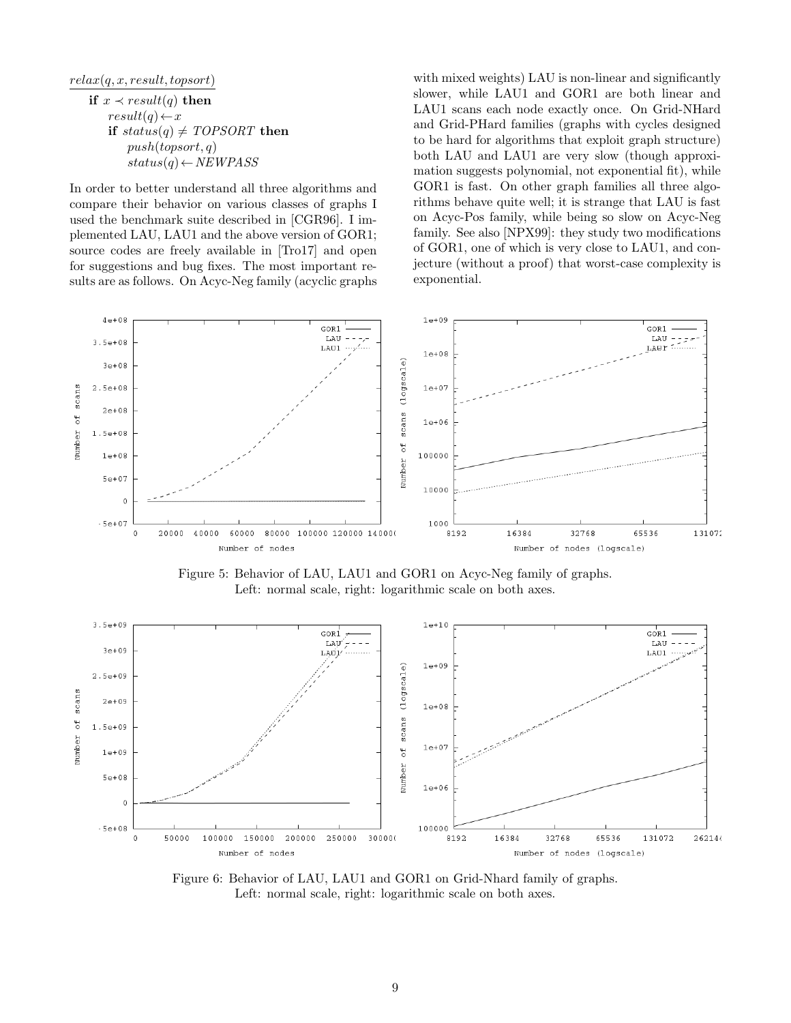$relax(q, x, result, topsort)$ 

$$
\begin{aligned}\n\text{if } x &< result(q) \text{ then} \\
\text{result}(q) &< x \\
\text{if } status(q) &\neq TOPSORT \text{ then} \\
\text{push}(topsort, q) \\
\text{status}(q) &< NEWPASS\n\end{aligned}
$$

In order to better understand all three algorithms and compare their behavior on various classes of graphs I used the benchmark suite described in [CGR96]. I implemented LAU, LAU1 and the above version of GOR1; source codes are freely available in [Tro17] and open for suggestions and bug fixes. The most important results are as follows. On Acyc-Neg family (acyclic graphs

with mixed weights) LAU is non-linear and significantly slower, while LAU1 and GOR1 are both linear and LAU1 scans each node exactly once. On Grid-NHard and Grid-PHard families (graphs with cycles designed to be hard for algorithms that exploit graph structure) both LAU and LAU1 are very slow (though approximation suggests polynomial, not exponential fit), while GOR1 is fast. On other graph families all three algorithms behave quite well; it is strange that LAU is fast on Acyc-Pos family, while being so slow on Acyc-Neg family. See also [NPX99]: they study two modifications of GOR1, one of which is very close to LAU1, and conjecture (without a proof) that worst-case complexity is exponential.



Figure 5: Behavior of LAU, LAU1 and GOR1 on Acyc-Neg family of graphs. Left: normal scale, right: logarithmic scale on both axes.



Figure 6: Behavior of LAU, LAU1 and GOR1 on Grid-Nhard family of graphs. Left: normal scale, right: logarithmic scale on both axes.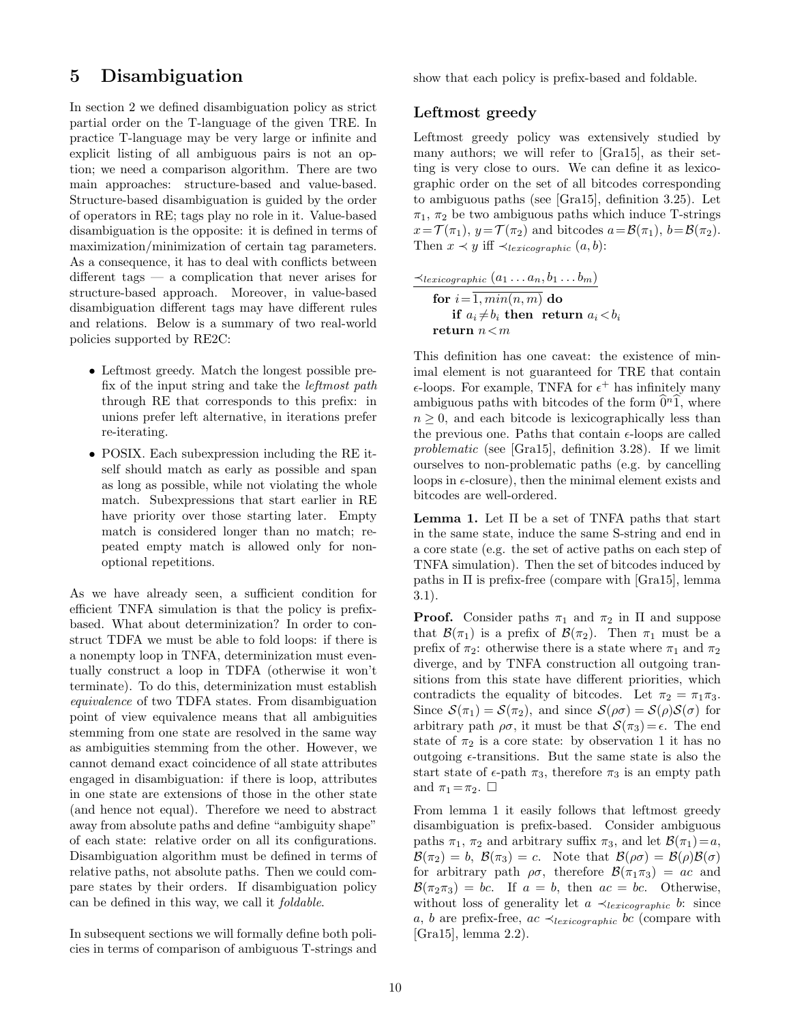## 5 Disambiguation

In section 2 we defined disambiguation policy as strict partial order on the T-language of the given TRE. In practice T-language may be very large or infinite and explicit listing of all ambiguous pairs is not an option; we need a comparison algorithm. There are two main approaches: structure-based and value-based. Structure-based disambiguation is guided by the order of operators in RE; tags play no role in it. Value-based disambiguation is the opposite: it is defined in terms of maximization/minimization of certain tag parameters. As a consequence, it has to deal with conflicts between different tags — a complication that never arises for structure-based approach. Moreover, in value-based disambiguation different tags may have different rules and relations. Below is a summary of two real-world policies supported by RE2C:

- Leftmost greedy. Match the longest possible prefix of the input string and take the *leftmost path* through RE that corresponds to this prefix: in unions prefer left alternative, in iterations prefer re-iterating.
- POSIX. Each subexpression including the RE itself should match as early as possible and span as long as possible, while not violating the whole match. Subexpressions that start earlier in RE have priority over those starting later. Empty match is considered longer than no match; repeated empty match is allowed only for nonoptional repetitions.

As we have already seen, a sufficient condition for efficient TNFA simulation is that the policy is prefixbased. What about determinization? In order to construct TDFA we must be able to fold loops: if there is a nonempty loop in TNFA, determinization must eventually construct a loop in TDFA (otherwise it won't terminate). To do this, determinization must establish equivalence of two TDFA states. From disambiguation point of view equivalence means that all ambiguities stemming from one state are resolved in the same way as ambiguities stemming from the other. However, we cannot demand exact coincidence of all state attributes engaged in disambiguation: if there is loop, attributes in one state are extensions of those in the other state (and hence not equal). Therefore we need to abstract away from absolute paths and define "ambiguity shape" of each state: relative order on all its configurations. Disambiguation algorithm must be defined in terms of relative paths, not absolute paths. Then we could compare states by their orders. If disambiguation policy can be defined in this way, we call it foldable.

In subsequent sections we will formally define both policies in terms of comparison of ambiguous T-strings and show that each policy is prefix-based and foldable.

### Leftmost greedy

Leftmost greedy policy was extensively studied by many authors; we will refer to [Gra15], as their setting is very close to ours. We can define it as lexicographic order on the set of all bitcodes corresponding to ambiguous paths (see [Gra15], definition 3.25). Let  $\pi_1$ ,  $\pi_2$  be two ambiguous paths which induce T-strings  $x = \mathcal{T}(\pi_1), y = \mathcal{T}(\pi_2)$  and bitcodes  $a = \mathcal{B}(\pi_1), b = \mathcal{B}(\pi_2)$ . Then  $x \prec y$  iff  $\prec_{lexicographic}(a, b)$ :

$$
\frac{\prec_{lexicographic} (a_1 \ldots a_n, b_1 \ldots b_m)}{\textbf{for } i = \overline{1, min(n, m)} \textbf{do}} \\ \textbf{if } a_i \neq b_i \textbf{ then } \textbf{return } a_i < b_i \\ \textbf{return } n < m
$$

This definition has one caveat: the existence of minimal element is not guaranteed for TRE that contain  $\epsilon$ -loops. For example, TNFA for  $\epsilon^+$  has infinitely many ambiguous paths with bitcodes of the form  $\hat{\mathbf{0}}^n \hat{\mathbf{1}}$ , where  $n \geq 0$ , and each bitcode is lexicographically less than the previous one. Paths that contain  $\epsilon$ -loops are called problematic (see [Gra15], definition 3.28). If we limit ourselves to non-problematic paths (e.g. by cancelling loops in  $\epsilon$ -closure), then the minimal element exists and bitcodes are well-ordered.

**Lemma 1.** Let  $\Pi$  be a set of TNFA paths that start in the same state, induce the same S-string and end in a core state (e.g. the set of active paths on each step of TNFA simulation). Then the set of bitcodes induced by paths in Π is prefix-free (compare with [Gra15], lemma 3.1).

**Proof.** Consider paths  $\pi_1$  and  $\pi_2$  in  $\Pi$  and suppose that  $\mathcal{B}(\pi_1)$  is a prefix of  $\mathcal{B}(\pi_2)$ . Then  $\pi_1$  must be a prefix of  $\pi_2$ : otherwise there is a state where  $\pi_1$  and  $\pi_2$ diverge, and by TNFA construction all outgoing transitions from this state have different priorities, which contradicts the equality of bitcodes. Let  $\pi_2 = \pi_1 \pi_3$ . Since  $\mathcal{S}(\pi_1) = \mathcal{S}(\pi_2)$ , and since  $\mathcal{S}(\rho \sigma) = \mathcal{S}(\rho) \mathcal{S}(\sigma)$  for arbitrary path  $\rho\sigma$ , it must be that  $\mathcal{S}(\pi_3) = \epsilon$ . The end state of  $\pi_2$  is a core state: by observation 1 it has no outgoing  $\epsilon$ -transitions. But the same state is also the start state of  $\epsilon$ -path  $\pi_3$ , therefore  $\pi_3$  is an empty path and  $\pi_1 = \pi_2$ .  $\Box$ 

From lemma 1 it easily follows that leftmost greedy disambiguation is prefix-based. Consider ambiguous paths  $\pi_1$ ,  $\pi_2$  and arbitrary suffix  $\pi_3$ , and let  $\mathcal{B}(\pi_1)=a$ ,  $\mathcal{B}(\pi_2) = b$ ,  $\mathcal{B}(\pi_3) = c$ . Note that  $\mathcal{B}(\rho \sigma) = \mathcal{B}(\rho) \mathcal{B}(\sigma)$ for arbitrary path  $\rho\sigma$ , therefore  $\mathcal{B}(\pi_1\pi_3) = ac$  and  $\mathcal{B}(\pi_2\pi_3) = bc$ . If  $a = b$ , then  $ac = bc$ . Otherwise, without loss of generality let  $a \prec_{lexicographic} b$ : since a, b are prefix-free,  $ac \prec_{lexicographic} bc$  (compare with [Gra15], lemma 2.2).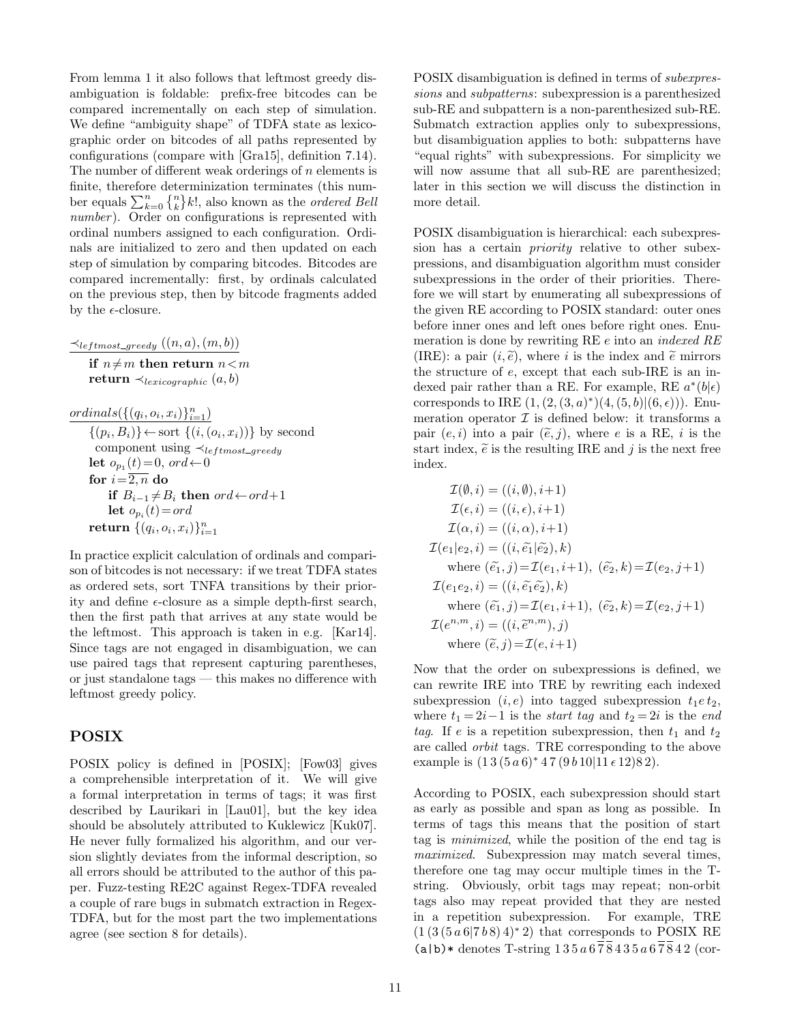From lemma 1 it also follows that leftmost greedy disambiguation is foldable: prefix-free bitcodes can be compared incrementally on each step of simulation. We define "ambiguity shape" of TDFA state as lexicographic order on bitcodes of all paths represented by configurations (compare with [Gra15], definition 7.14). The number of different weak orderings of  $n$  elements is finite, therefore determinization terminates (this number equals  $\sum_{k=0}^{n} \{n\} k!$ , also known as the *ordered Bell* number). Order on configurations is represented with ordinal numbers assigned to each configuration. Ordinals are initialized to zero and then updated on each step of simulation by comparing bitcodes. Bitcodes are compared incrementally: first, by ordinals calculated on the previous step, then by bitcode fragments added by the  $\epsilon$ -closure.

 $\prec_{leftmost\_greedy} ((n, a), (m, b))$ if  $n \neq m$  then return  $n < m$ return  $\prec_{lexicographic} (a, b)$ 

 $ordinals({(q_i, o_i, x_i)}_{i=1}^n)$  $\{(p_i, B_i)\}\leftarrow \text{sort }\{(i, (o_i, x_i))\}$  by second component using  $\prec_{leftmost\_greedy}$ let  $o_{p_1}(t) = 0$ , ord $\leftarrow 0$ for  $i=\overline{2,n}$  do if  $B_{i-1} \neq B_i$  then ord←ord+1 let  $o_{p_i}(t) = ord$  $\mathbf{return}\ \{ (q_i, o_i, x_i) \}_{i=1}^n$ 

In practice explicit calculation of ordinals and comparison of bitcodes is not necessary: if we treat TDFA states as ordered sets, sort TNFA transitions by their priority and define  $\epsilon$ -closure as a simple depth-first search, then the first path that arrives at any state would be the leftmost. This approach is taken in e.g. [Kar14]. Since tags are not engaged in disambiguation, we can use paired tags that represent capturing parentheses, or just standalone tags — this makes no difference with leftmost greedy policy.

#### POSIX

POSIX policy is defined in [POSIX]; [Fow03] gives a comprehensible interpretation of it. We will give a formal interpretation in terms of tags; it was first described by Laurikari in [Lau01], but the key idea should be absolutely attributed to Kuklewicz [Kuk07]. He never fully formalized his algorithm, and our version slightly deviates from the informal description, so all errors should be attributed to the author of this paper. Fuzz-testing RE2C against Regex-TDFA revealed a couple of rare bugs in submatch extraction in Regex-TDFA, but for the most part the two implementations agree (see section 8 for details).

POSIX disambiguation is defined in terms of subexpressions and subpatterns: subexpression is a parenthesized sub-RE and subpattern is a non-parenthesized sub-RE. Submatch extraction applies only to subexpressions, but disambiguation applies to both: subpatterns have "equal rights" with subexpressions. For simplicity we will now assume that all sub-RE are parenthesized; later in this section we will discuss the distinction in more detail.

POSIX disambiguation is hierarchical: each subexpression has a certain priority relative to other subexpressions, and disambiguation algorithm must consider subexpressions in the order of their priorities. Therefore we will start by enumerating all subexpressions of the given RE according to POSIX standard: outer ones before inner ones and left ones before right ones. Enumeration is done by rewriting RE  $e$  into an *indexed RE* (IRE): a pair  $(i, \tilde{e})$ , where i is the index and  $\tilde{e}$  mirrors the structure of  $e$ , except that each sub-IRE is an indexed pair rather than a RE. For example, RE  $a^*(b|\epsilon)$ corresponds to IRE  $(1, (2, (3, a)^*)(4, (5, b)|(6, \epsilon)))$ . Enumeration operator  $\mathcal I$  is defined below: it transforms a pair  $(e, i)$  into a pair  $(\tilde{e}, j)$ , where e is a RE, i is the start index,  $\tilde{e}$  is the resulting IRE and j is the next free index.

$$
\mathcal{I}(\emptyset, i) = ((i, \emptyset), i+1) \n\mathcal{I}(\epsilon, i) = ((i, \epsilon), i+1) \n\mathcal{I}(\alpha, i) = ((i, \alpha), i+1) \n\mathcal{I}(e_1|e_2, i) = ((i, \tilde{e_1}|\tilde{e_2}), k) \n\text{where } (\tilde{e_1}, j) = \mathcal{I}(e_1, i+1), (\tilde{e_2}, k) = \mathcal{I}(e_2, j+1) \n\mathcal{I}(e_1e_2, i) = ((i, \tilde{e_1}\tilde{e_2}), k) \n\text{where } (\tilde{e_1}, j) = \mathcal{I}(e_1, i+1), (\tilde{e_2}, k) = \mathcal{I}(e_2, j+1) \n\mathcal{I}(e^{n,m}, i) = ((i, \tilde{e}^{n,m}), j) \n\text{where } (\tilde{e}, j) = \mathcal{I}(e, i+1)
$$

Now that the order on subexpressions is defined, we can rewrite IRE into TRE by rewriting each indexed subexpression  $(i, e)$  into tagged subexpression  $t_1 e t_2$ , where  $t_1 = 2i-1$  is the *start tag* and  $t_2 = 2i$  is the *end* tag. If e is a repetition subexpression, then  $t_1$  and  $t_2$ are called orbit tags. TRE corresponding to the above example is  $(13(5a6)*47(9b10|11e12)82)$ .

According to POSIX, each subexpression should start as early as possible and span as long as possible. In terms of tags this means that the position of start tag is minimized, while the position of the end tag is maximized. Subexpression may match several times, therefore one tag may occur multiple times in the Tstring. Obviously, orbit tags may repeat; non-orbit tags also may repeat provided that they are nested in a repetition subexpression. For example, TRE  $(1 (3 (5 a 6|7 b 8) 4)^* 2)$  that corresponds to POSIX RE  $(a|b)$  \* denotes T-string  $135a\,6\overline{78}435a\,6\overline{78}42$  (cor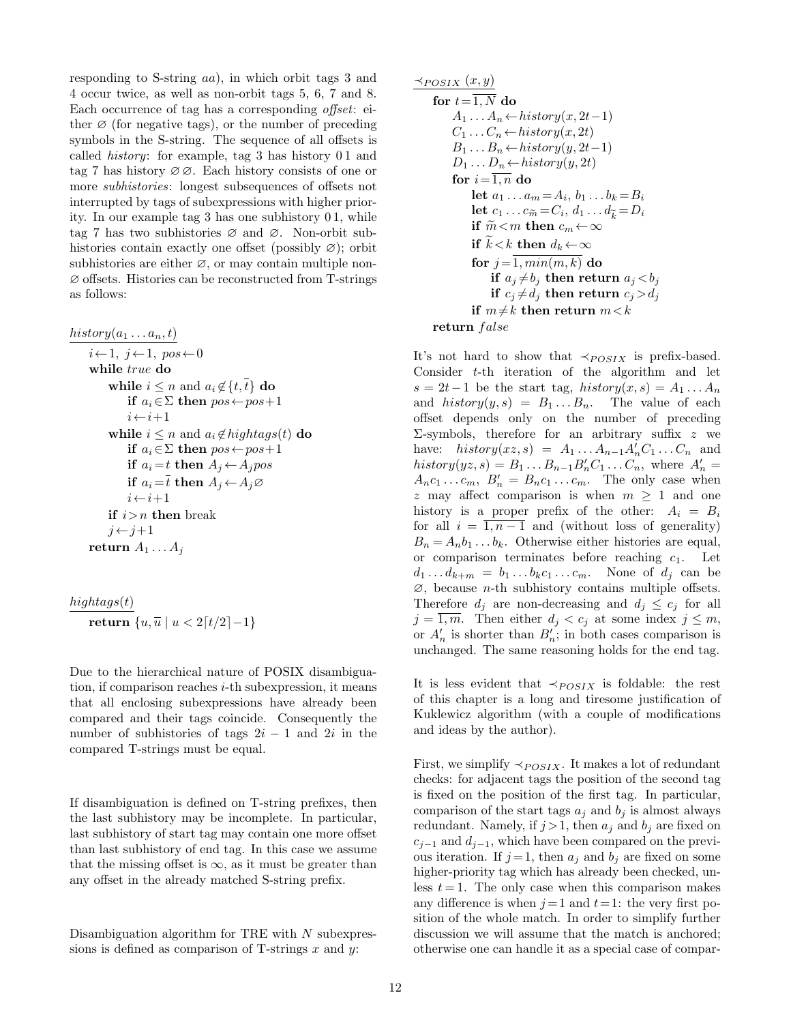responding to S-string aa), in which orbit tags 3 and 4 occur twice, as well as non-orbit tags 5, 6, 7 and 8. Each occurrence of tag has a corresponding *offset*: either  $\varnothing$  (for negative tags), or the number of preceding symbols in the S-string. The sequence of all offsets is called *history*: for example, tag 3 has history 01 and tag 7 has history ∅ ∅. Each history consists of one or more *subhistories*: longest subsequences of offsets not interrupted by tags of subexpressions with higher priority. In our example tag 3 has one subhistory 0 1, while tag 7 has two subhistories ∅ and ∅. Non-orbit subhistories contain exactly one offset (possibly  $\varnothing$ ); orbit subhistories are either  $\varnothing$ , or may contain multiple non-∅ offsets. Histories can be reconstructed from T-strings as follows:

 $history(a_1 \ldots a_n, t)$ 

```
i \leftarrow 1, j \leftarrow 1, pos \leftarrow 0while true do
     while i \leq n and a_i \notin \{t, \bar{t}\}\) do
          if a_i \in \Sigma then pos \leftarrow pos + 1i \leftarrow i+1while i \leq n and a_i \notin highestagg(t) do
          if a_i \in \Sigma then pos \leftarrow pos + 1if a_i = t then A_j \leftarrow A_j posif a_i = t then A_i \leftarrow A_i \varnothingi \leftarrow i+1if i>n then break
     j \leftarrow j+1return A_1 \ldots A_j
```

$$
\frac{hightags(t)}{\textbf{return } \{u, \overline{u} \mid u < 2\lceil t/2 \rceil - 1\}}
$$

Due to the hierarchical nature of POSIX disambiguation, if comparison reaches  $i$ -th subexpression, it means that all enclosing subexpressions have already been compared and their tags coincide. Consequently the number of subhistories of tags  $2i - 1$  and  $2i$  in the compared T-strings must be equal.

If disambiguation is defined on T-string prefixes, then the last subhistory may be incomplete. In particular, last subhistory of start tag may contain one more offset than last subhistory of end tag. In this case we assume that the missing offset is  $\infty$ , as it must be greater than any offset in the already matched S-string prefix.

Disambiguation algorithm for TRE with  $N$  subexpressions is defined as comparison of T-strings  $x$  and  $y$ :

$$
\frac{\prec_{POSIX}(x,y)}{\textbf{for }t=\overline{1,N}}\textbf{do} \\\hline A_1 \dots A_n \leftarrow history(x, 2t-1) \\\ C_1 \dots C_n \leftarrow history(x, 2t) \\\ B_1 \dots B_n \leftarrow history(y, 2t-1) \\\ D_1 \dots D_n \leftarrow history(y, 2t) \\\ \textbf{for } i=\overline{1,n} \textbf{ do} \\\textbf{let } a_1 \dots a_m = A_i, b_1 \dots b_k = B_i \\\textbf{let } c_1 \dots c_{\widetilde{m}} = C_i, d_1 \dots d_{\widetilde{k}} = D_i \\\textbf{if } \widetilde{m} < m \textbf{ then } c_m \leftarrow \infty \\\textbf{if } \widetilde{k} < k \textbf{ then } d_k \leftarrow \infty \\\textbf{for } j=\overline{1, min(m, k)} \textbf{ do} \\\textbf{if } a_j \neq b_j \textbf{ then return } a_j < b_j \\\textbf{if } r_j \neq d_j \textbf{ then return } m < k \\\textbf{return } false \\\textbf{return } false
$$

It's not hard to show that  $\prec_{POSTX}$  is prefix-based. Consider t-th iteration of the algorithm and let  $s = 2t-1$  be the start tag, history $(x, s) = A_1 \dots A_n$ and  $history(y, s) = B_1 \dots B_n$ . The value of each offset depends only on the number of preceding  $\Sigma$ -symbols, therefore for an arbitrary suffix z we have:  $history(xz, s) = A_1 ... A_{n-1} A'_n C_1 ... C_n$  and  $history(yz, s) = B_1 \dots B_{n-1} B'_n C_1 \dots C_n$ , where  $A'_n =$  $A_n c_1 \dots c_m$ ,  $B'_n = B_n c_1 \dots c_m$ . The only case when z may affect comparison is when  $m \geq 1$  and one history is a proper prefix of the other:  $A_i = B_i$ for all  $i = \overline{1, n-1}$  and (without loss of generality)  $B_n = A_n b_1 \dots b_k$ . Otherwise either histories are equal, or comparison terminates before reaching  $c_1$ . Let  $d_1 \dots d_{k+m} = b_1 \dots b_k c_1 \dots c_m$ . None of  $d_j$  can be  $\emptyset$ , because *n*-th subhistory contains multiple offsets. Therefore  $d_i$  are non-decreasing and  $d_i \leq c_i$  for all  $j = \overline{1,m}$ . Then either  $d_j < c_j$  at some index  $j \leq m$ , or  $A'_n$  is shorter than  $B'_n$ ; in both cases comparison is unchanged. The same reasoning holds for the end tag.

It is less evident that  $\prec_{POSIX}$  is foldable: the rest of this chapter is a long and tiresome justification of Kuklewicz algorithm (with a couple of modifications and ideas by the author).

First, we simplify  $\prec_{POSIX}$ . It makes a lot of redundant checks: for adjacent tags the position of the second tag is fixed on the position of the first tag. In particular, comparison of the start tags  $a_j$  and  $b_j$  is almost always redundant. Namely, if  $j > 1$ , then  $a_j$  and  $b_j$  are fixed on  $c_{j-1}$  and  $d_{j-1}$ , which have been compared on the previous iteration. If  $j=1$ , then  $a_j$  and  $b_j$  are fixed on some higher-priority tag which has already been checked, unless  $t = 1$ . The only case when this comparison makes any difference is when  $j=1$  and  $t=1$ : the very first position of the whole match. In order to simplify further discussion we will assume that the match is anchored; otherwise one can handle it as a special case of compar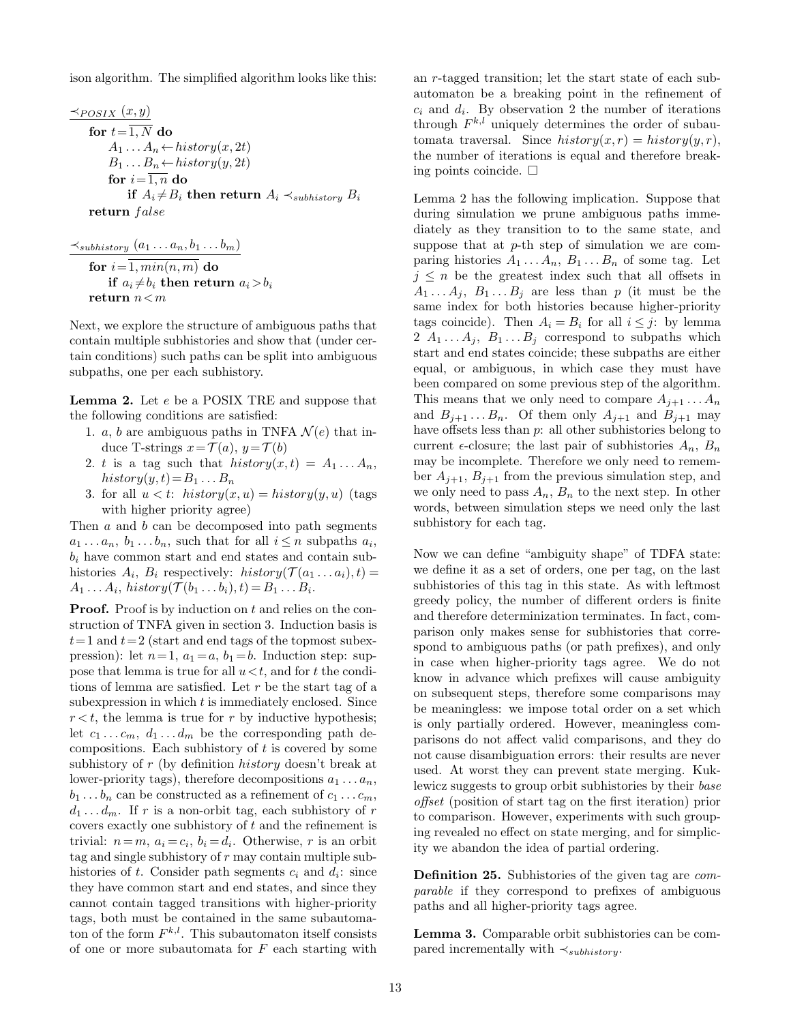ison algorithm. The simplified algorithm looks like this:

$$
\frac{\prec_{POSIX}(x,y)}{\textbf{for } t=1,N \textbf{ do}}
$$
\n
$$
A_1 \dots A_n \leftarrow history(x, 2t)
$$
\n
$$
B_1 \dots B_n \leftarrow history(y, 2t)
$$
\n
$$
\textbf{for } i=1,n \textbf{ do}
$$
\n
$$
\textbf{if } A_i \neq B_i \textbf{ then return } A_i \prec_{subhistory} B_i
$$
\n
$$
\textbf{return } false
$$

$$
\frac{\prec_{subhistory}(a_1 \ldots a_n, b_1 \ldots b_m)}{\textbf{for } i = \overline{1, min(n, m)} \textbf{ do}} \\ \textbf{if } a_i \neq b_i \textbf{ then return } a_i > b_i \\ \textbf{return } n < m
$$

Next, we explore the structure of ambiguous paths that contain multiple subhistories and show that (under certain conditions) such paths can be split into ambiguous subpaths, one per each subhistory.

Lemma 2. Let e be a POSIX TRE and suppose that the following conditions are satisfied:

- 1. a, b are ambiguous paths in TNFA  $\mathcal{N}(e)$  that induce T-strings  $x = \mathcal{T}(a), y = \mathcal{T}(b)$
- 2. t is a tag such that  $history(x,t) = A_1 \dots A_n$ , history $(y, t) = B_1 \dots B_n$
- 3. for all  $u < t$ : history $(x, u) = history(y, u)$  (tags with higher priority agree)

Then  $a$  and  $b$  can be decomposed into path segments  $a_1 \ldots a_n, b_1 \ldots b_n$ , such that for all  $i \leq n$  subpaths  $a_i$ ,  $b_i$  have common start and end states and contain subhistories  $A_i$ ,  $B_i$  respectively:  $history(\mathcal{T}(a_1 \ldots a_i), t) =$  $A_1 \ldots A_i$ , history $(\mathcal{T}(b_1 \ldots b_i), t) = B_1 \ldots B_i$ .

**Proof.** Proof is by induction on  $t$  and relies on the construction of TNFA given in section 3. Induction basis is  $t=1$  and  $t=2$  (start and end tags of the topmost subexpression): let  $n=1$ ,  $a_1=a$ ,  $b_1=b$ . Induction step: suppose that lemma is true for all  $u < t$ , and for t the conditions of lemma are satisfied. Let r be the start tag of a subexpression in which  $t$  is immediately enclosed. Since  $r < t$ , the lemma is true for r by inductive hypothesis; let  $c_1 \ldots c_m$ ,  $d_1 \ldots d_m$  be the corresponding path decompositions. Each subhistory of  $t$  is covered by some subhistory of r (by definition history doesn't break at lower-priority tags), therefore decompositions  $a_1 \ldots a_n$ ,  $b_1 \ldots b_n$  can be constructed as a refinement of  $c_1 \ldots c_m$ ,  $d_1 \ldots d_m$ . If r is a non-orbit tag, each subhistory of r covers exactly one subhistory of  $t$  and the refinement is trivial:  $n = m$ ,  $a_i = c_i$ ,  $b_i = d_i$ . Otherwise, r is an orbit tag and single subhistory of  $r$  may contain multiple subhistories of t. Consider path segments  $c_i$  and  $d_i$ : since they have common start and end states, and since they cannot contain tagged transitions with higher-priority tags, both must be contained in the same subautomaton of the form  $F^{k,l}$ . This subautomaton itself consists of one or more subautomata for  $F$  each starting with

an r-tagged transition; let the start state of each subautomaton be a breaking point in the refinement of  $c_i$  and  $d_i$ . By observation 2 the number of iterations through  $F^{k,l}$  uniquely determines the order of subautomata traversal. Since  $history(x, r) = history(y, r)$ , the number of iterations is equal and therefore breaking points coincide.  $\square$ 

Lemma 2 has the following implication. Suppose that during simulation we prune ambiguous paths immediately as they transition to to the same state, and suppose that at  $p$ -th step of simulation we are comparing histories  $A_1 \ldots A_n$ ,  $B_1 \ldots B_n$  of some tag. Let  $j \leq n$  be the greatest index such that all offsets in  $A_1 \ldots A_j$ ,  $B_1 \ldots B_j$  are less than p (it must be the same index for both histories because higher-priority tags coincide). Then  $A_i = B_i$  for all  $i \leq j$ : by lemma 2  $A_1 \ldots A_j$ ,  $B_1 \ldots B_j$  correspond to subpaths which start and end states coincide; these subpaths are either equal, or ambiguous, in which case they must have been compared on some previous step of the algorithm. This means that we only need to compare  $A_{i+1} \ldots A_n$ and  $B_{i+1} \ldots B_n$ . Of them only  $A_{i+1}$  and  $B_{i+1}$  may have offsets less than p: all other subhistories belong to current  $\epsilon$ -closure; the last pair of subhistories  $A_n$ ,  $B_n$ may be incomplete. Therefore we only need to remember  $A_{j+1}$ ,  $B_{j+1}$  from the previous simulation step, and we only need to pass  $A_n$ ,  $B_n$  to the next step. In other words, between simulation steps we need only the last subhistory for each tag.

Now we can define "ambiguity shape" of TDFA state: we define it as a set of orders, one per tag, on the last subhistories of this tag in this state. As with leftmost greedy policy, the number of different orders is finite and therefore determinization terminates. In fact, comparison only makes sense for subhistories that correspond to ambiguous paths (or path prefixes), and only in case when higher-priority tags agree. We do not know in advance which prefixes will cause ambiguity on subsequent steps, therefore some comparisons may be meaningless: we impose total order on a set which is only partially ordered. However, meaningless comparisons do not affect valid comparisons, and they do not cause disambiguation errors: their results are never used. At worst they can prevent state merging. Kuklewicz suggests to group orbit subhistories by their base offset (position of start tag on the first iteration) prior to comparison. However, experiments with such grouping revealed no effect on state merging, and for simplicity we abandon the idea of partial ordering.

Definition 25. Subhistories of the given tag are *com*parable if they correspond to prefixes of ambiguous paths and all higher-priority tags agree.

Lemma 3. Comparable orbit subhistories can be compared incrementally with  $\prec_{subhistory}$ .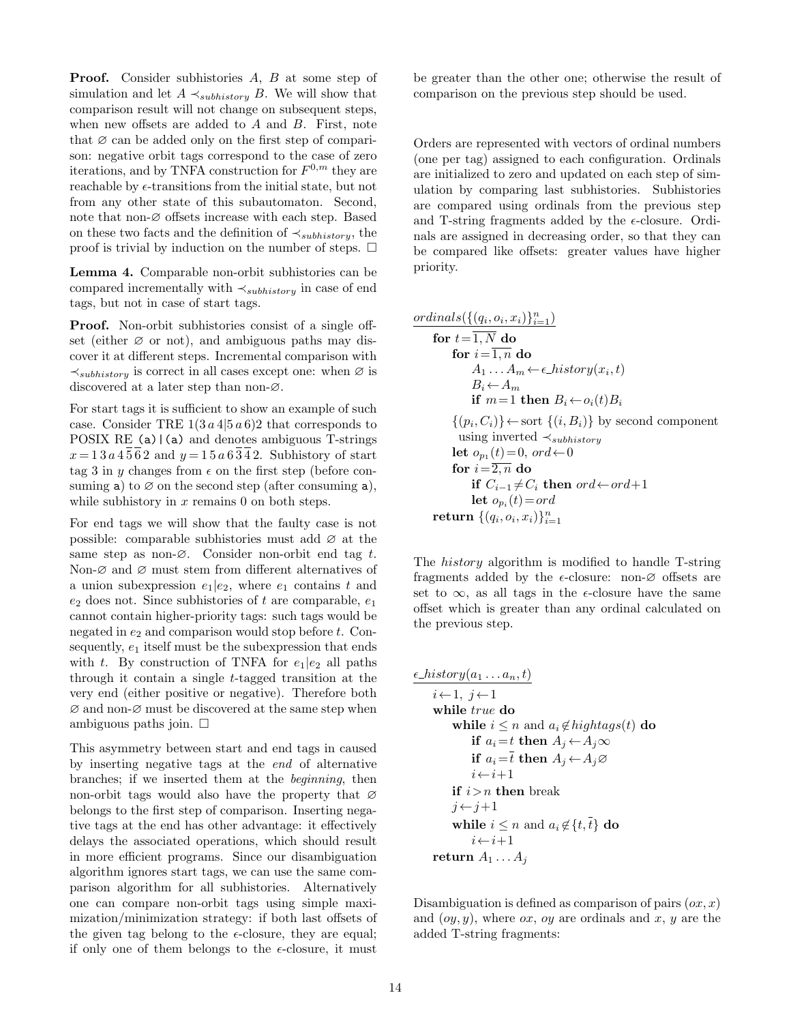Proof. Consider subhistories A, B at some step of simulation and let  $A \prec_{subhistory} B$ . We will show that comparison result will not change on subsequent steps, when new offsets are added to A and B. First, note that  $\varnothing$  can be added only on the first step of comparison: negative orbit tags correspond to the case of zero iterations, and by TNFA construction for  $F^{0,m}$  they are reachable by  $\epsilon$ -transitions from the initial state, but not from any other state of this subautomaton. Second, note that non-∅ offsets increase with each step. Based on these two facts and the definition of  $\prec_{subhistory}$ , the proof is trivial by induction on the number of steps.  $\Box$ 

Lemma 4. Comparable non-orbit subhistories can be compared incrementally with  $\prec_{subhistory}$  in case of end tags, but not in case of start tags.

Proof. Non-orbit subhistories consist of a single offset (either  $\varnothing$  or not), and ambiguous paths may discover it at different steps. Incremental comparison with  $\prec$ <sub>subhistory</sub> is correct in all cases except one: when ∅ is discovered at a later step than non-∅.

For start tags it is sufficient to show an example of such case. Consider TRE  $1(3 a 4|5 a 6)2$  that corresponds to POSIX RE  $(a)$  | (a) and denotes ambiguous T-strings  $x=13a\sqrt{4562}$  and  $y=15a\sqrt{634}2$ . Subhistory of start tag 3 in y changes from  $\epsilon$  on the first step (before consuming a) to  $\varnothing$  on the second step (after consuming a), while subhistory in  $x$  remains 0 on both steps.

For end tags we will show that the faulty case is not possible: comparable subhistories must add ∅ at the same step as non- $\varnothing$ . Consider non-orbit end tag t. Non- $\varnothing$  and  $\varnothing$  must stem from different alternatives of a union subexpression  $e_1|e_2$ , where  $e_1$  contains t and  $e_2$  does not. Since subhistories of t are comparable,  $e_1$ cannot contain higher-priority tags: such tags would be negated in  $e_2$  and comparison would stop before  $t$ . Consequently,  $e_1$  itself must be the subexpression that ends with t. By construction of TNFA for  $e_1|e_2$  all paths through it contain a single t-tagged transition at the very end (either positive or negative). Therefore both  $\varnothing$  and non- $\varnothing$  must be discovered at the same step when ambiguous paths join.  $\square$ 

This asymmetry between start and end tags in caused by inserting negative tags at the end of alternative branches; if we inserted them at the beginning, then non-orbit tags would also have the property that  $\varnothing$ belongs to the first step of comparison. Inserting negative tags at the end has other advantage: it effectively delays the associated operations, which should result in more efficient programs. Since our disambiguation algorithm ignores start tags, we can use the same comparison algorithm for all subhistories. Alternatively one can compare non-orbit tags using simple maximization/minimization strategy: if both last offsets of the given tag belong to the  $\epsilon$ -closure, they are equal; if only one of them belongs to the  $\epsilon$ -closure, it must

be greater than the other one; otherwise the result of comparison on the previous step should be used.

Orders are represented with vectors of ordinal numbers (one per tag) assigned to each configuration. Ordinals are initialized to zero and updated on each step of simulation by comparing last subhistories. Subhistories are compared using ordinals from the previous step and T-string fragments added by the  $\epsilon$ -closure. Ordinals are assigned in decreasing order, so that they can be compared like offsets: greater values have higher priority.

$$
\frac{\text{ordinates}(\{(q_i, o_i, x_i)\}_{i=1}^n)}{\text{for } t = \overline{1, N} \text{ do}}\n \qquad \qquad \text{for } i = \overline{1, n} \text{ do} \\
 \qquad \qquad \text{for } i = \overline{1, n} \text{ do} \\
 \qquad \qquad A_1 \ldots A_m \leftarrow \epsilon\_history(x_i, t) \\
 \qquad B_i \leftarrow A_m \\
 \qquad \text{if } m = 1 \text{ then } B_i \leftarrow o_i(t)B_i \\
 \{ (p_i, C_i) \} \leftarrow \text{sort } \{ (i, B_i) \} \text{ by second component} \\
 \qquad \text{using inverted } \prec_{subhistory} \\
 \qquad \text{let } o_{p_1}(t) = 0, \text{ ord} \leftarrow 0 \\
 \qquad \text{for } i = \overline{2, n} \text{ do} \\
 \qquad \qquad \text{if } C_{i-1} \neq C_i \text{ then } \text{ord} \leftarrow \text{ord} + 1 \\
 \qquad \qquad \text{let } o_{p_i}(t) = \text{ord} \\
 \qquad \text{return } \{ (q_i, o_i, x_i) \}_{i=1}^n
$$

The history algorithm is modified to handle T-string fragments added by the  $\epsilon$ -closure: non- $\varnothing$  offsets are set to  $\infty$ , as all tags in the  $\epsilon$ -closure have the same offset which is greater than any ordinal calculated on the previous step.

```
\epsilon\_{history}(a_1 \ldots a_n, t)i \leftarrow 1, j \leftarrow 1while true do
          while i \leq n and a_i \notin highest(1) do
               if a_i = t then A_j \leftarrow A_j \inftyif a_i = \overline{t} then A_j \leftarrow A_j \varnothingi \leftarrow i+1if i>n then break
          i \leftarrow i+1while i \leq n and a_i \notin \{t, \overline{t}\}\) do
                i \leftarrow i+1return A_1 \ldots A_j
```
Disambiguation is defined as comparison of pairs  $(ox, x)$ and  $(oy, y)$ , where ox, oy are ordinals and x, y are the added T-string fragments: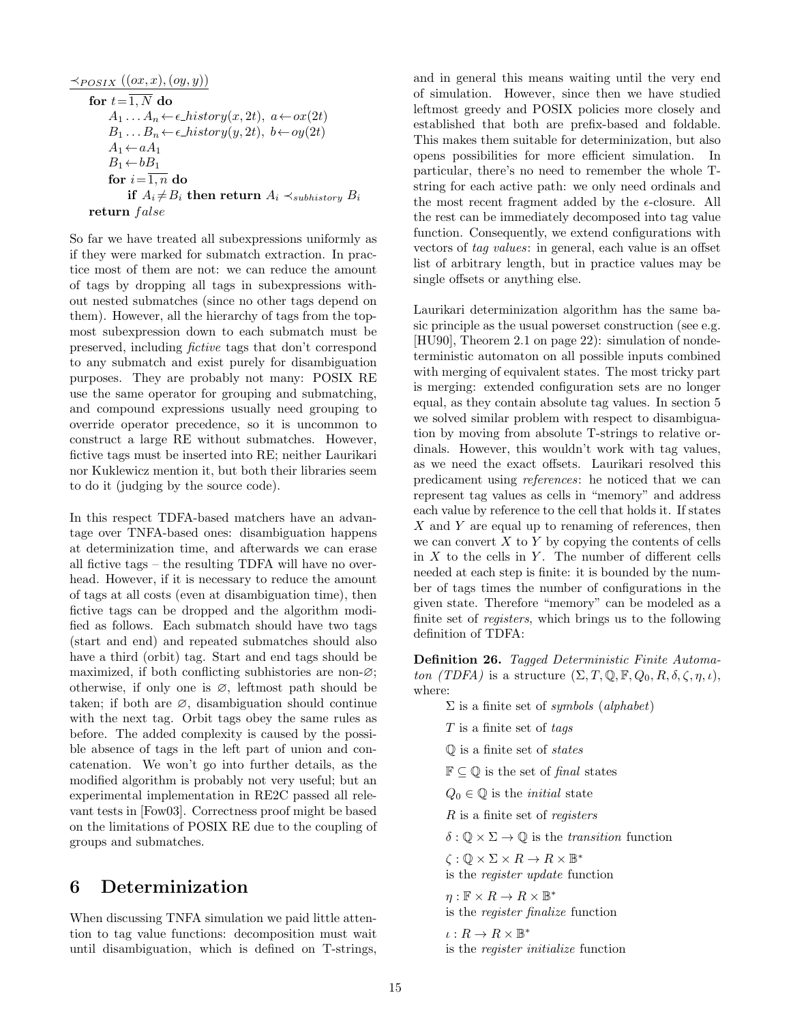$$
\frac{\prec_{POSIX} ((ox, x), (oy, y))}{\text{for } t = \overline{1, N} \text{ do}}\n \begin{array}{l}\n A_1 \ldots A_n \leftarrow \epsilon\text{-}history(x, 2t), \ a \leftarrow ox(2t) \\
 B_1 \ldots B_n \leftarrow \epsilon\text{-}history(y, 2t), \ b \leftarrow oy(2t) \\
 A_1 \leftarrow aA_1 \\
 B_1 \leftarrow bB_1 \\
 \text{for } i = \overline{1, n} \text{ do} \\
 \text{if } A_i \neq B_i \text{ then return } A_i \prec_{subhistory} B_i \\
 \text{return } false\n \end{array}
$$

So far we have treated all subexpressions uniformly as if they were marked for submatch extraction. In practice most of them are not: we can reduce the amount of tags by dropping all tags in subexpressions without nested submatches (since no other tags depend on them). However, all the hierarchy of tags from the topmost subexpression down to each submatch must be preserved, including fictive tags that don't correspond to any submatch and exist purely for disambiguation purposes. They are probably not many: POSIX RE use the same operator for grouping and submatching, and compound expressions usually need grouping to override operator precedence, so it is uncommon to construct a large RE without submatches. However, fictive tags must be inserted into RE; neither Laurikari nor Kuklewicz mention it, but both their libraries seem to do it (judging by the source code).

In this respect TDFA-based matchers have an advantage over TNFA-based ones: disambiguation happens at determinization time, and afterwards we can erase all fictive tags – the resulting TDFA will have no overhead. However, if it is necessary to reduce the amount of tags at all costs (even at disambiguation time), then fictive tags can be dropped and the algorithm modified as follows. Each submatch should have two tags (start and end) and repeated submatches should also have a third (orbit) tag. Start and end tags should be maximized, if both conflicting subhistories are non-∅; otherwise, if only one is  $\varnothing$ , leftmost path should be taken; if both are  $\varnothing$ , disambiguation should continue with the next tag. Orbit tags obey the same rules as before. The added complexity is caused by the possible absence of tags in the left part of union and concatenation. We won't go into further details, as the modified algorithm is probably not very useful; but an experimental implementation in RE2C passed all relevant tests in [Fow03]. Correctness proof might be based on the limitations of POSIX RE due to the coupling of groups and submatches.

## 6 Determinization

When discussing TNFA simulation we paid little attention to tag value functions: decomposition must wait until disambiguation, which is defined on T-strings,

and in general this means waiting until the very end of simulation. However, since then we have studied leftmost greedy and POSIX policies more closely and established that both are prefix-based and foldable. This makes them suitable for determinization, but also opens possibilities for more efficient simulation. In particular, there's no need to remember the whole Tstring for each active path: we only need ordinals and the most recent fragment added by the  $\epsilon$ -closure. All the rest can be immediately decomposed into tag value function. Consequently, we extend configurations with vectors of tag values: in general, each value is an offset list of arbitrary length, but in practice values may be single offsets or anything else.

Laurikari determinization algorithm has the same basic principle as the usual powerset construction (see e.g. [HU90], Theorem 2.1 on page 22): simulation of nondeterministic automaton on all possible inputs combined with merging of equivalent states. The most tricky part is merging: extended configuration sets are no longer equal, as they contain absolute tag values. In section 5 we solved similar problem with respect to disambiguation by moving from absolute T-strings to relative ordinals. However, this wouldn't work with tag values, as we need the exact offsets. Laurikari resolved this predicament using references: he noticed that we can represent tag values as cells in "memory" and address each value by reference to the cell that holds it. If states  $X$  and  $Y$  are equal up to renaming of references, then we can convert  $X$  to  $Y$  by copying the contents of cells in  $X$  to the cells in  $Y$ . The number of different cells needed at each step is finite: it is bounded by the number of tags times the number of configurations in the given state. Therefore "memory" can be modeled as a finite set of registers, which brings us to the following definition of TDFA:

Definition 26. Tagged Deterministic Finite Automaton (TDFA) is a structure  $(\Sigma, T, \mathbb{Q}, \mathbb{F}, Q_0, R, \delta, \zeta, \eta, \iota),$ where:

> $\Sigma$  is a finite set of *symbols* (*alphabet*)  $T$  is a finite set of tags  $\mathbb{O}$  is a finite set of *states*  $\mathbb{F} \subseteq \mathbb{Q}$  is the set of final states  $Q_0 \in \mathbb{Q}$  is the *initial* state R is a finite set of registers  $\delta: \mathbb{Q} \times \Sigma \to \mathbb{Q}$  is the *transition* function  $\zeta : \mathbb{Q} \times \Sigma \times R \to R \times \mathbb{B}^*$ is the register update function  $\eta: \mathbb{F} \times R \to R \times \mathbb{B}^*$ is the register finalize function  $\iota: R \to R \times \mathbb{B}^*$

is the register initialize function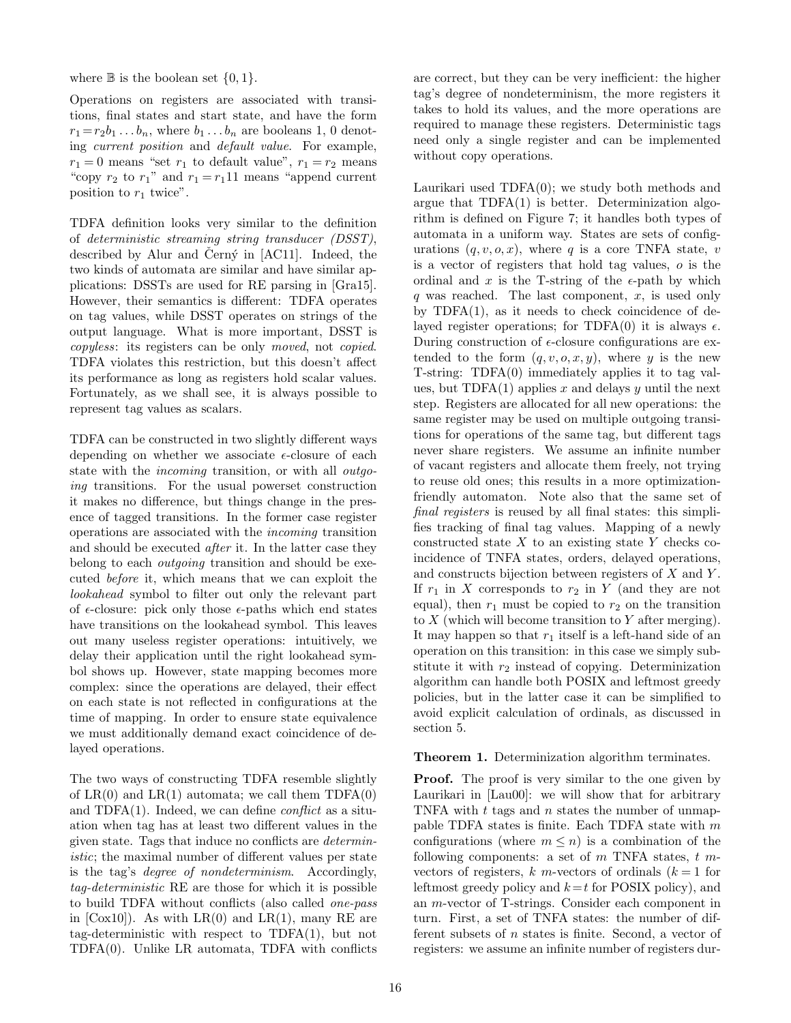where  $\mathbb B$  is the boolean set  $\{0,1\}.$ 

Operations on registers are associated with transitions, final states and start state, and have the form  $r_1 = r_2b_1 \ldots b_n$ , where  $b_1 \ldots b_n$  are booleans 1, 0 denoting current position and default value. For example,  $r_1 = 0$  means "set  $r_1$  to default value",  $r_1 = r_2$  means "copy  $r_2$  to  $r_1$ " and  $r_1 = r_1 11$  means "append current" position to  $r_1$  twice".

TDFA definition looks very similar to the definition of deterministic streaming string transducer (DSST), described by Alur and Cern $\circ$  in [AC11]. Indeed, the two kinds of automata are similar and have similar applications: DSSTs are used for RE parsing in [Gra15]. However, their semantics is different: TDFA operates on tag values, while DSST operates on strings of the output language. What is more important, DSST is copyless: its registers can be only moved, not copied. TDFA violates this restriction, but this doesn't affect its performance as long as registers hold scalar values. Fortunately, as we shall see, it is always possible to represent tag values as scalars.

TDFA can be constructed in two slightly different ways depending on whether we associate  $\epsilon$ -closure of each state with the incoming transition, or with all outgoing transitions. For the usual powerset construction it makes no difference, but things change in the presence of tagged transitions. In the former case register operations are associated with the incoming transition and should be executed after it. In the latter case they belong to each outgoing transition and should be executed before it, which means that we can exploit the lookahead symbol to filter out only the relevant part of  $\epsilon$ -closure: pick only those  $\epsilon$ -paths which end states have transitions on the lookahead symbol. This leaves out many useless register operations: intuitively, we delay their application until the right lookahead symbol shows up. However, state mapping becomes more complex: since the operations are delayed, their effect on each state is not reflected in configurations at the time of mapping. In order to ensure state equivalence we must additionally demand exact coincidence of delayed operations.

The two ways of constructing TDFA resemble slightly of  $LR(0)$  and  $LR(1)$  automata; we call them  $TDFA(0)$ and TDFA $(1)$ . Indeed, we can define *conflict* as a situation when tag has at least two different values in the given state. Tags that induce no conflicts are deterministic; the maximal number of different values per state is the tag's degree of nondeterminism. Accordingly, tag-deterministic RE are those for which it is possible to build TDFA without conflicts (also called one-pass in  $[Cox10]$ ). As with  $LR(0)$  and  $LR(1)$ , many RE are tag-deterministic with respect to TDFA(1), but not TDFA(0). Unlike LR automata, TDFA with conflicts

are correct, but they can be very inefficient: the higher tag's degree of nondeterminism, the more registers it takes to hold its values, and the more operations are required to manage these registers. Deterministic tags need only a single register and can be implemented without copy operations.

Laurikari used TDFA(0); we study both methods and argue that  $TDFA(1)$  is better. Determinization algorithm is defined on Figure 7; it handles both types of automata in a uniform way. States are sets of configurations  $(q, v, o, x)$ , where q is a core TNFA state, v is a vector of registers that hold tag values, o is the ordinal and x is the T-string of the  $\epsilon$ -path by which q was reached. The last component,  $x$ , is used only by TDFA(1), as it needs to check coincidence of delayed register operations; for TDFA(0) it is always  $\epsilon$ . During construction of  $\epsilon$ -closure configurations are extended to the form  $(q, v, o, x, y)$ , where y is the new T-string: TDFA(0) immediately applies it to tag values, but  $TDFA(1)$  applies x and delays y until the next step. Registers are allocated for all new operations: the same register may be used on multiple outgoing transitions for operations of the same tag, but different tags never share registers. We assume an infinite number of vacant registers and allocate them freely, not trying to reuse old ones; this results in a more optimizationfriendly automaton. Note also that the same set of final registers is reused by all final states: this simplifies tracking of final tag values. Mapping of a newly constructed state  $X$  to an existing state Y checks coincidence of TNFA states, orders, delayed operations, and constructs bijection between registers of  $X$  and  $Y$ . If  $r_1$  in X corresponds to  $r_2$  in Y (and they are not equal), then  $r_1$  must be copied to  $r_2$  on the transition to X (which will become transition to Y after merging). It may happen so that  $r_1$  itself is a left-hand side of an operation on this transition: in this case we simply substitute it with  $r_2$  instead of copying. Determinization algorithm can handle both POSIX and leftmost greedy policies, but in the latter case it can be simplified to avoid explicit calculation of ordinals, as discussed in section 5.

Theorem 1. Determinization algorithm terminates.

**Proof.** The proof is very similar to the one given by Laurikari in [Lau00]: we will show that for arbitrary TNFA with  $t$  tags and  $n$  states the number of unmappable TDFA states is finite. Each TDFA state with  $m$ configurations (where  $m \leq n$ ) is a combination of the following components: a set of  $m$  TNFA states,  $t$   $m$ vectors of registers, k m-vectors of ordinals  $(k = 1$  for leftmost greedy policy and  $k=t$  for POSIX policy), and an m-vector of T-strings. Consider each component in turn. First, a set of TNFA states: the number of different subsets of n states is finite. Second, a vector of registers: we assume an infinite number of registers dur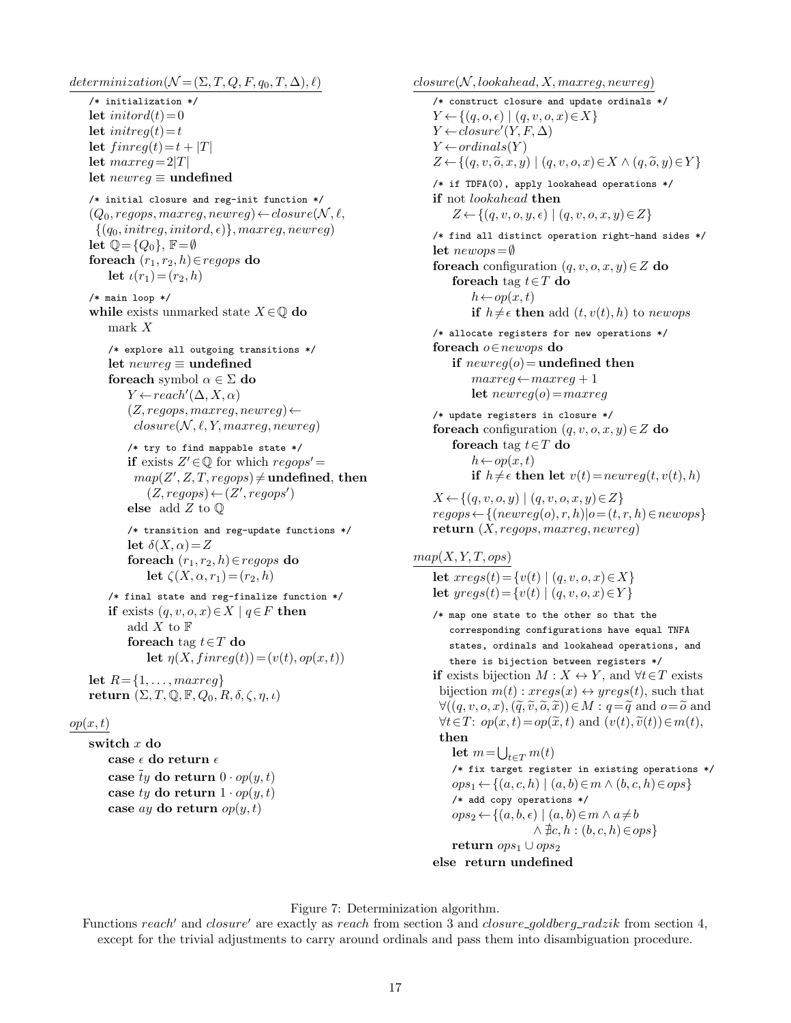$determinization(N = (\Sigma, T, Q, F, q_0, T, \Delta), \ell)$ /\* initialization \*/ let initor $d(t)=0$ let initreq $(t)=t$ let  $finreg(t) = t + |T|$ let  $maxreg = 2|T|$ let  $newreg \equiv$  undefined /\* initial closure and reg-init function \*/  $(Q_0, regops, maxreg, newreg) \leftarrow closure(N, \ell,$  $\{(q_0,initreg,initord, \epsilon)\}, maxreg, newreg)$ let  $\mathbb{Q} = \{Q_0\}$ ,  $\mathbb{F} = \emptyset$ foreach  $(r_1, r_2, h) \in regops$  do let  $\iota(r_1) = (r_2, h)$ /\* main loop \*/ while exists unmarked state  $X \in \mathbb{Q}$  do mark X /\* explore all outgoing transitions \*/ let  $newreq \equiv$  undefined foreach symbol  $\alpha \in \Sigma$  do  $Y \leftarrow reach'(\Delta, X, \alpha)$  $(Z, regops, maxreg, newreg) \leftarrow$  $closure(N, \ell, Y, maxreq, newreq)$ /\* try to find mappable state \*/ if exists  $Z' \in \mathbb{Q}$  for which  $regops' =$  $map(Z', Z, T, regops) \neq$  undefined, then  $(Z, regops) \leftarrow (Z', regops')$ else add Z to Q /\* transition and reg-update functions \*/ let  $\delta(X, \alpha) = Z$ foreach  $(r_1, r_2, h) \in regops$  do let  $\zeta(X, \alpha, r_1) = (r_2, h)$ /\* final state and reg-finalize function \*/ if exists  $(q, v, o, x) \in X \mid q \in F$  then add  $X$  to  $\mathbb F$ for each tag  $t \in T$  do let  $\eta(X, \text{finreg}(t)) = (v(t), \text{op}(x, t))$ let  $R = \{1, ..., maxreg\}$ return  $(\Sigma, T, \mathbb{Q}, \mathbb{F}, Q_0, R, \delta, \zeta, \eta, \iota)$ 

## $op(x,t)$

switch x do case  $\epsilon$  do return  $\epsilon$ case ty do return  $0 \cdot op(y, t)$ case ty do return  $1 \cdot op(y, t)$ case ay do return  $op(y,t)$ 

 $closure(N, look ahead, X, maxreg, newreg)$ /\* construct closure and update ordinals \*/  $Y \leftarrow \{(q, o, \epsilon) \mid (q, v, o, x) \in X\}$  $Y \leftarrow closure'(Y, F, \Delta)$  $Y \leftarrow ordinals(Y)$  $Z \leftarrow \{(q, v, \widetilde{o}, x, y) \mid (q, v, o, x) \in X \land (q, \widetilde{o}, y) \in Y\}$ /\* if TDFA(0), apply lookahead operations \*/ if not lookahead then  $Z \leftarrow \{(q, v, o, y, \epsilon) \mid (q, v, o, x, y) \in Z\}$ /\* find all distinct operation right-hand sides \*/ let  $newops = \emptyset$ foreach configuration  $(q, v, o, x, y) \in Z$  do foreach tag  $t \in T$  do  $h \leftarrow op(x, t)$ if  $h \neq \epsilon$  then add  $(t, v(t), h)$  to newops /\* allocate registers for new operations \*/ foreach o∈newops do if  $newreg(o) =$  undefined then  $maxreg \leftarrow maxreg + 1$ let  $newreq(o) = maxreq$ /\* update registers in closure \*/ foreach configuration  $(q, v, o, x, y) \in Z$  do foreach tag  $t \in T$  do  $h \leftarrow op(x, t)$ if  $h \neq \epsilon$  then let  $v(t) = newreg(t, v(t), h)$  $X \leftarrow \{(q, v, o, y) \mid (q, v, o, x, y) \in Z\}$  $regops \leftarrow \{(newreg(o), r, h) | o = (t, r, h) \in newops\}$ return  $(X, reqops, maxreq, newreq)$ 

#### $map(X, Y, T, ops)$

let  $xregs(t) = \{v(t) | (q, v, o, x) \in X\}$ let  $yregs(t) = \{v(t) | (q, v, o, x) \in Y\}$ 

```
/* map one state to the other so that the
    corresponding configurations have equal TNFA
    states, ordinals and lookahead operations, and
    there is bijection between registers */
if exists bijection M : X \leftrightarrow Y, and \forall t \in T exists
 bijection m(t): xregs(x) \leftrightarrow yregs(t), such that
 \forall ((q, v, o, x), (\tilde{q}, \tilde{v}, \tilde{o}, \tilde{x})) \in M : q = \tilde{q} \text{ and } o = \tilde{o} \text{ and } o\forall t \in T: op(x, t) = op(\tilde{x}, t) \text{ and } (v(t), \tilde{v}(t)) \in m(t),then
     let m = \bigcup_{t \in T} m(t)/* fix target register in existing operations */
    ops_1 \leftarrow \{(a, c, h) | (a, b) \in m \land (b, c, h) \in ops\}/* add copy operations */
    ops_2 \leftarrow \{(a, b, \epsilon) \mid (a, b) \in m \land a \neq b\land \nexists c, h : (b, c, h) \in ops\}return ops_1 \cup ops_2else return undefined
```
Figure 7: Determinization algorithm.

Functions reach' and closure' are exactly as reach from section 3 and closure goldberg radzik from section 4, except for the trivial adjustments to carry around ordinals and pass them into disambiguation procedure.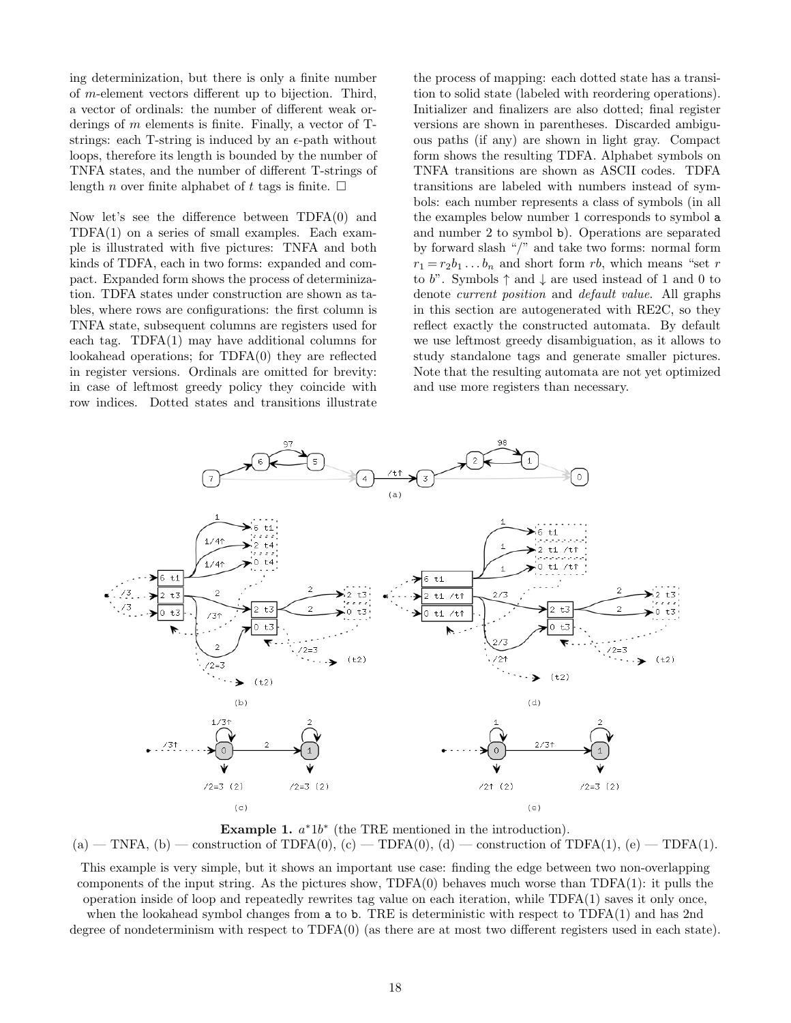ing determinization, but there is only a finite number of m-element vectors different up to bijection. Third, a vector of ordinals: the number of different weak orderings of m elements is finite. Finally, a vector of Tstrings: each T-string is induced by an  $\epsilon$ -path without loops, therefore its length is bounded by the number of TNFA states, and the number of different T-strings of length *n* over finite alphabet of t tags is finite.  $\Box$ 

Now let's see the difference between TDFA(0) and TDFA(1) on a series of small examples. Each example is illustrated with five pictures: TNFA and both kinds of TDFA, each in two forms: expanded and compact. Expanded form shows the process of determinization. TDFA states under construction are shown as tables, where rows are configurations: the first column is TNFA state, subsequent columns are registers used for each tag. TDFA(1) may have additional columns for lookahead operations; for TDFA(0) they are reflected in register versions. Ordinals are omitted for brevity: in case of leftmost greedy policy they coincide with row indices. Dotted states and transitions illustrate

the process of mapping: each dotted state has a transition to solid state (labeled with reordering operations). Initializer and finalizers are also dotted; final register versions are shown in parentheses. Discarded ambiguous paths (if any) are shown in light gray. Compact form shows the resulting TDFA. Alphabet symbols on TNFA transitions are shown as ASCII codes. TDFA transitions are labeled with numbers instead of symbols: each number represents a class of symbols (in all the examples below number 1 corresponds to symbol a and number 2 to symbol b). Operations are separated by forward slash "/" and take two forms: normal form  $r_1 = r_2b_1 \ldots b_n$  and short form rb, which means "set r to b". Symbols  $\uparrow$  and  $\downarrow$  are used instead of 1 and 0 to denote current position and default value. All graphs in this section are autogenerated with RE2C, so they reflect exactly the constructed automata. By default we use leftmost greedy disambiguation, as it allows to study standalone tags and generate smaller pictures. Note that the resulting automata are not yet optimized and use more registers than necessary.



Example 1.  $a^*1b^*$  (the TRE mentioned in the introduction).

 $(a)$  — TNFA,  $(b)$  — construction of TDFA $(0)$ ,  $(c)$  — TDFA $(0)$ ,  $(d)$  — construction of TDFA $(1)$ ,  $(e)$  — TDFA $(1)$ .

This example is very simple, but it shows an important use case: finding the edge between two non-overlapping components of the input string. As the pictures show,  $TDFA(0)$  behaves much worse than  $TDFA(1)$ : it pulls the operation inside of loop and repeatedly rewrites tag value on each iteration, while TDFA(1) saves it only once, when the lookahead symbol changes from a to b. TRE is deterministic with respect to TDFA(1) and has 2nd degree of nondeterminism with respect to TDFA(0) (as there are at most two different registers used in each state).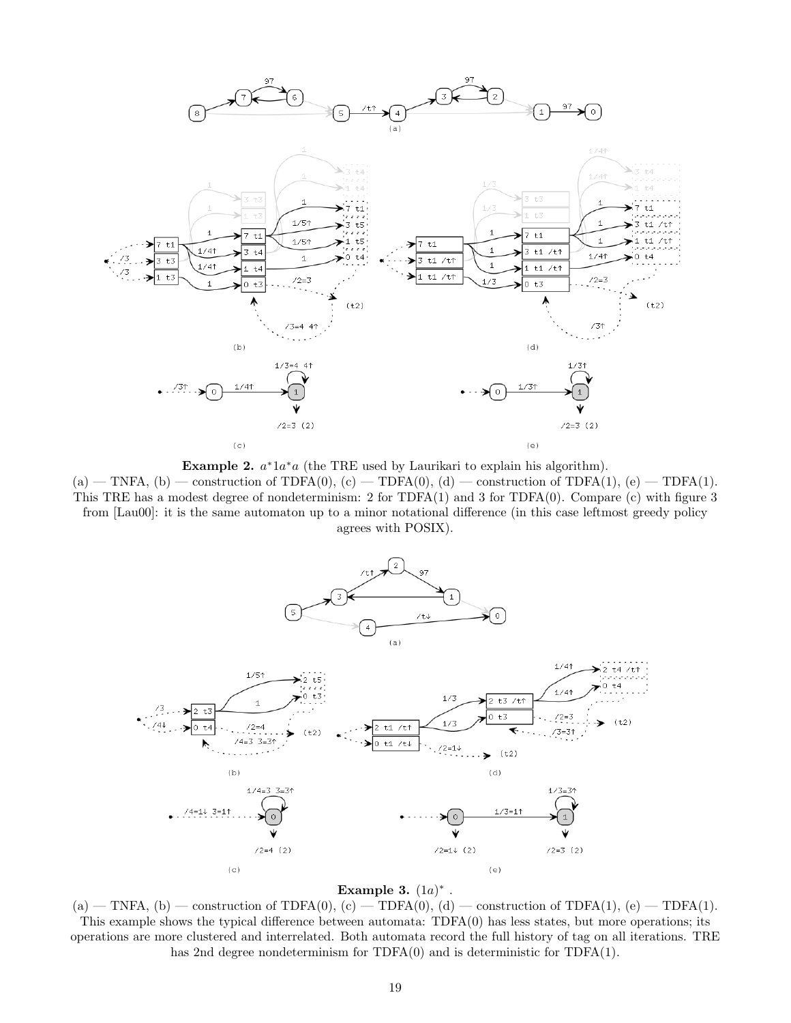

Example 2.  $a^*1a^*a$  (the TRE used by Laurikari to explain his algorithm).

 $(a)$  — TNFA,  $(b)$  — construction of TDFA $(0)$ ,  $(c)$  — TDFA $(0)$ ,  $(d)$  — construction of TDFA $(1)$ ,  $(e)$  — TDFA $(1)$ . This TRE has a modest degree of nondeterminism: 2 for TDFA(1) and 3 for TDFA(0). Compare (c) with figure 3 from [Lau00]: it is the same automaton up to a minor notational difference (in this case leftmost greedy policy agrees with POSIX).



#### Example 3.  $(1a)^*$ .

 $(a)$  — TNFA,  $(b)$  — construction of TDFA $(0)$ ,  $(c)$  — TDFA $(0)$ ,  $(d)$  — construction of TDFA $(1)$ ,  $(e)$  — TDFA $(1)$ . This example shows the typical difference between automata: TDFA(0) has less states, but more operations; its operations are more clustered and interrelated. Both automata record the full history of tag on all iterations. TRE has 2nd degree nondeterminism for TDFA(0) and is deterministic for TDFA(1).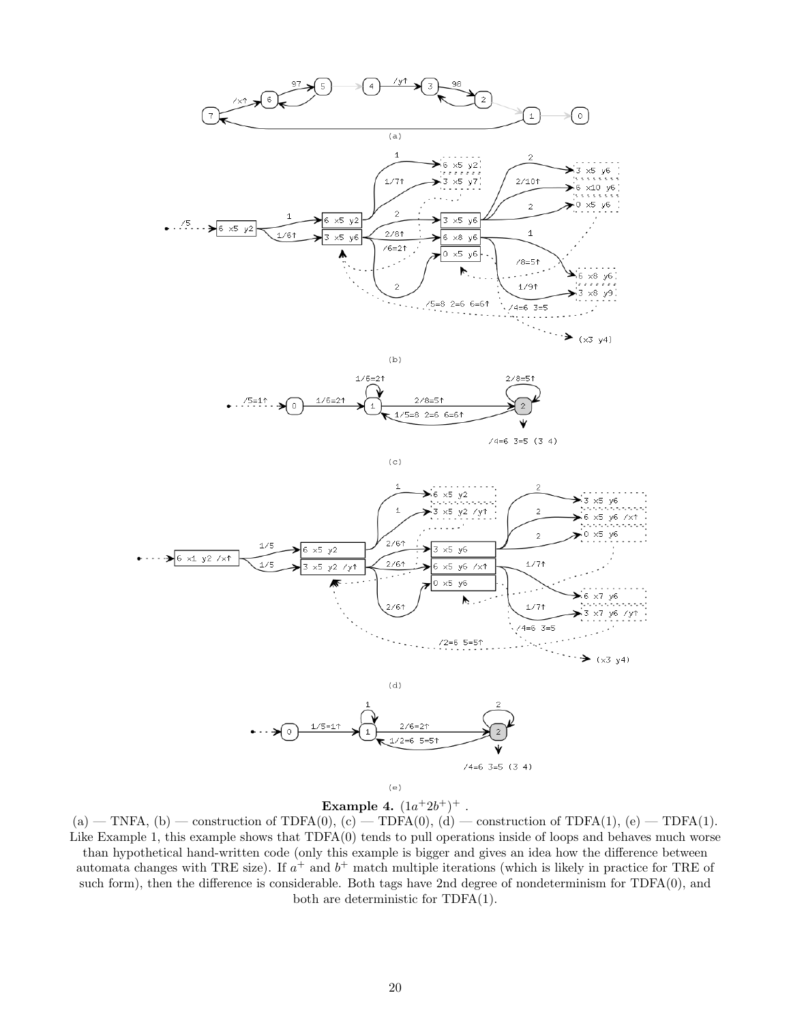



 $(c)$ 

 $74=6$  3=5 (3 4)





 $(a)$  — TNFA,  $(b)$  — construction of TDFA $(0)$ ,  $(c)$  — TDFA $(0)$ ,  $(d)$  — construction of TDFA $(1)$ ,  $(e)$  — TDFA $(1)$ . Like Example 1, this example shows that TDFA(0) tends to pull operations inside of loops and behaves much worse than hypothetical hand-written code (only this example is bigger and gives an idea how the difference between automata changes with TRE size). If  $a^+$  and  $b^+$  match multiple iterations (which is likely in practice for TRE of such form), then the difference is considerable. Both tags have 2nd degree of nondeterminism for TDFA(0), and both are deterministic for TDFA(1).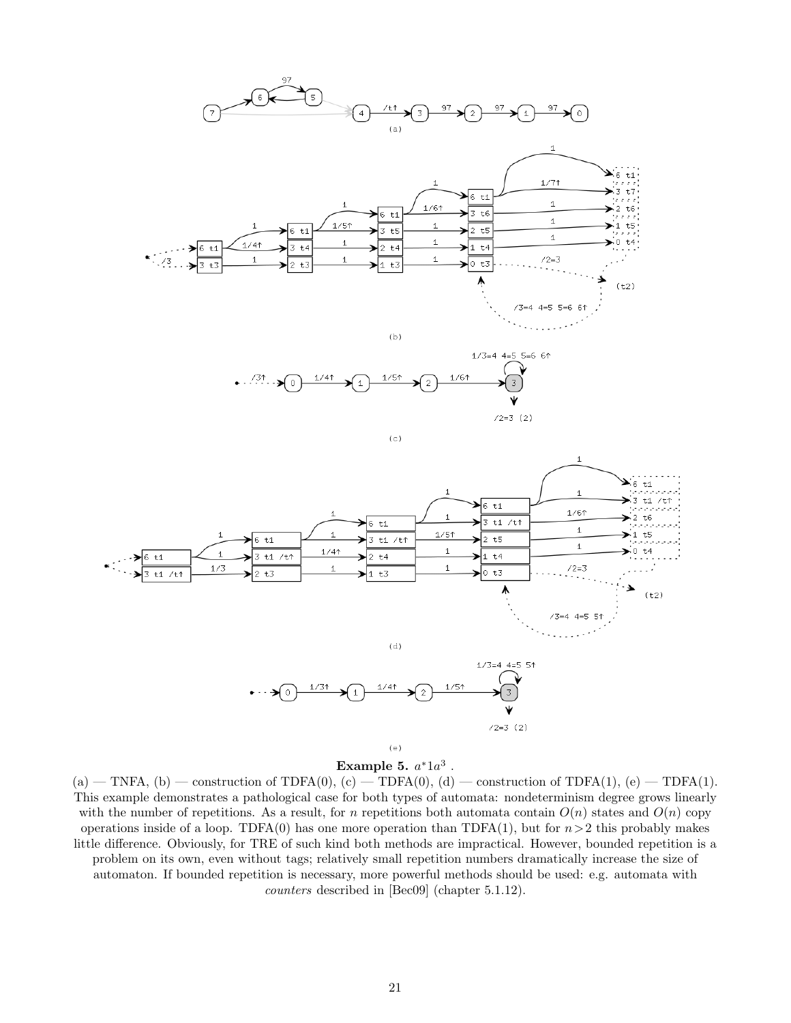



 $\left( \, c \, \right)$ 



(e)

Example 5.  $a^*1a^3$  .

 $(a)$  — TNFA,  $(b)$  — construction of TDFA $(0)$ ,  $(c)$  — TDFA $(0)$ ,  $(d)$  — construction of TDFA $(1)$ ,  $(e)$  — TDFA $(1)$ . This example demonstrates a pathological case for both types of automata: nondeterminism degree grows linearly with the number of repetitions. As a result, for n repetitions both automata contain  $O(n)$  states and  $O(n)$  copy operations inside of a loop. TDFA(0) has one more operation than TDFA(1), but for  $n>2$  this probably makes little difference. Obviously, for TRE of such kind both methods are impractical. However, bounded repetition is a problem on its own, even without tags; relatively small repetition numbers dramatically increase the size of automaton. If bounded repetition is necessary, more powerful methods should be used: e.g. automata with counters described in [Bec09] (chapter 5.1.12).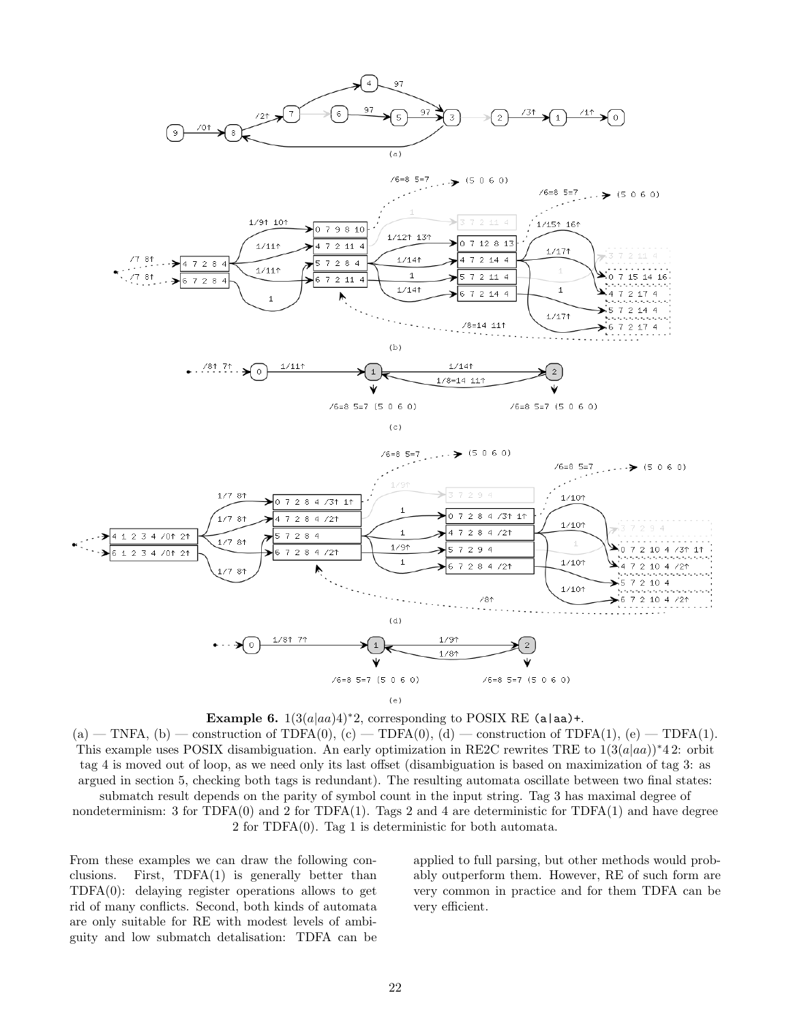



 $(a)$  — TNFA,  $(b)$  — construction of TDFA $(0)$ ,  $(c)$  — TDFA $(0)$ ,  $(d)$  — construction of TDFA $(1)$ ,  $(e)$  — TDFA $(1)$ . This example uses POSIX disambiguation. An early optimization in RE2C rewrites TRE to  $1(3(a|aa))^*42$ : orbit tag 4 is moved out of loop, as we need only its last offset (disambiguation is based on maximization of tag 3: as argued in section 5, checking both tags is redundant). The resulting automata oscillate between two final states: submatch result depends on the parity of symbol count in the input string. Tag 3 has maximal degree of nondeterminism: 3 for  $TDFA(0)$  and 2 for  $TDFA(1)$ . Tags 2 and 4 are deterministic for  $TDFA(1)$  and have degree 2 for TDFA(0). Tag 1 is deterministic for both automata.

From these examples we can draw the following conclusions. First, TDFA(1) is generally better than TDFA(0): delaying register operations allows to get rid of many conflicts. Second, both kinds of automata are only suitable for RE with modest levels of ambiguity and low submatch detalisation: TDFA can be

applied to full parsing, but other methods would probably outperform them. However, RE of such form are very common in practice and for them TDFA can be very efficient.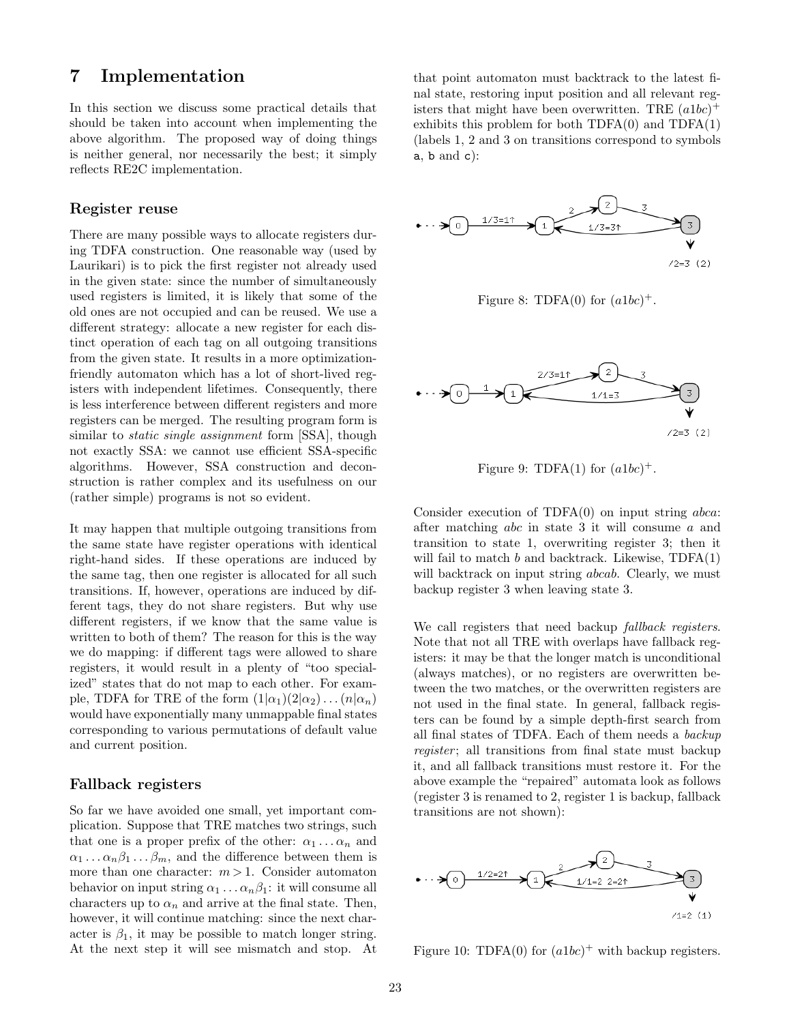## 7 Implementation

In this section we discuss some practical details that should be taken into account when implementing the above algorithm. The proposed way of doing things is neither general, nor necessarily the best; it simply reflects RE2C implementation.

#### Register reuse

There are many possible ways to allocate registers during TDFA construction. One reasonable way (used by Laurikari) is to pick the first register not already used in the given state: since the number of simultaneously used registers is limited, it is likely that some of the old ones are not occupied and can be reused. We use a different strategy: allocate a new register for each distinct operation of each tag on all outgoing transitions from the given state. It results in a more optimizationfriendly automaton which has a lot of short-lived registers with independent lifetimes. Consequently, there is less interference between different registers and more registers can be merged. The resulting program form is similar to *static single assignment* form [SSA], though not exactly SSA: we cannot use efficient SSA-specific algorithms. However, SSA construction and deconstruction is rather complex and its usefulness on our (rather simple) programs is not so evident.

It may happen that multiple outgoing transitions from the same state have register operations with identical right-hand sides. If these operations are induced by the same tag, then one register is allocated for all such transitions. If, however, operations are induced by different tags, they do not share registers. But why use different registers, if we know that the same value is written to both of them? The reason for this is the way we do mapping: if different tags were allowed to share registers, it would result in a plenty of "too specialized" states that do not map to each other. For example, TDFA for TRE of the form  $(1|\alpha_1)(2|\alpha_2)...(n|\alpha_n)$ would have exponentially many unmappable final states corresponding to various permutations of default value and current position.

#### Fallback registers

So far we have avoided one small, yet important complication. Suppose that TRE matches two strings, such that one is a proper prefix of the other:  $\alpha_1 \dots \alpha_n$  and  $\alpha_1 \ldots \alpha_n \beta_1 \ldots \beta_m$ , and the difference between them is more than one character:  $m > 1$ . Consider automaton behavior on input string  $\alpha_1 \ldots \alpha_n \beta_1$ : it will consume all characters up to  $\alpha_n$  and arrive at the final state. Then, however, it will continue matching: since the next character is  $\beta_1$ , it may be possible to match longer string. At the next step it will see mismatch and stop. At

that point automaton must backtrack to the latest final state, restoring input position and all relevant registers that might have been overwritten. TRE  $(a1bc)^+$ exhibits this problem for both  $TDFA(0)$  and  $TDFA(1)$ (labels 1, 2 and 3 on transitions correspond to symbols  $a, b$  and  $c$ ):



Figure 8: TDFA $(0)$  for  $(albc)^+$ .



Figure 9: TDFA(1) for  $(a1bc)^+$ .

Consider execution of  $TDFA(0)$  on input string  $abca$ : after matching abc in state 3 it will consume a and transition to state 1, overwriting register 3; then it will fail to match b and backtrack. Likewise,  $TDFA(1)$ will backtrack on input string *abcab*. Clearly, we must backup register 3 when leaving state 3.

We call registers that need backup *fallback registers*. Note that not all TRE with overlaps have fallback registers: it may be that the longer match is unconditional (always matches), or no registers are overwritten between the two matches, or the overwritten registers are not used in the final state. In general, fallback registers can be found by a simple depth-first search from all final states of TDFA. Each of them needs a backup register; all transitions from final state must backup it, and all fallback transitions must restore it. For the above example the "repaired" automata look as follows (register 3 is renamed to 2, register 1 is backup, fallback transitions are not shown):



Figure 10: TDFA(0) for  $(a1bc)^+$  with backup registers.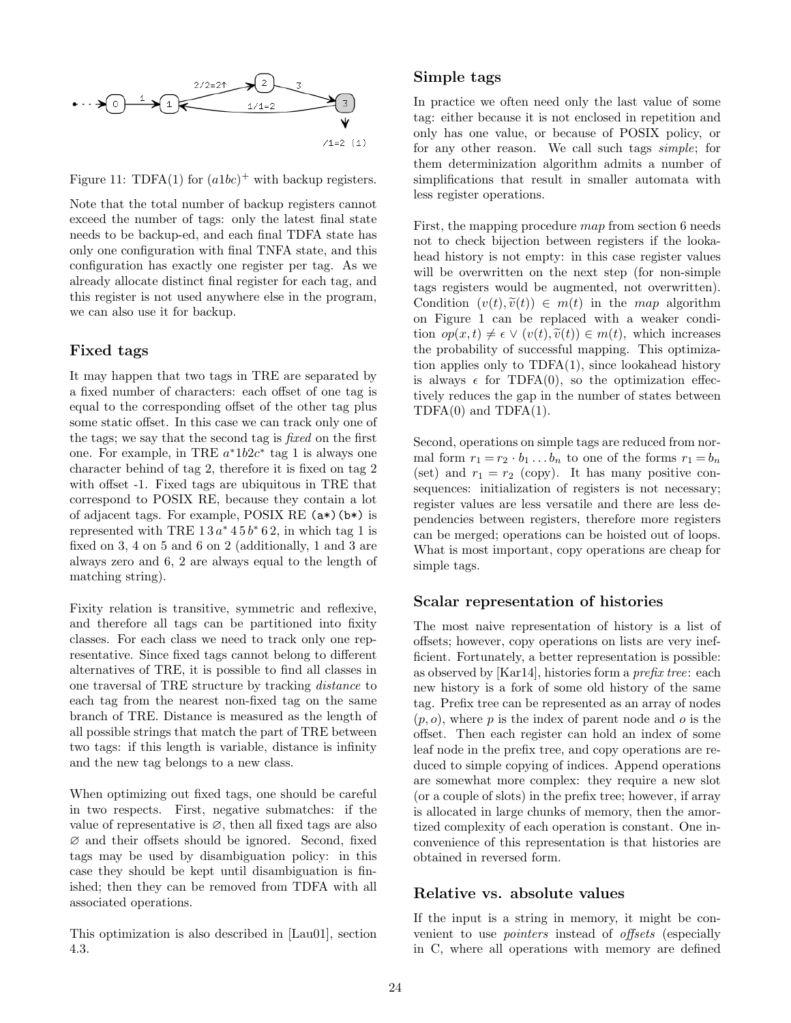

Figure 11: TDFA(1) for  $(a1bc)^+$  with backup registers.

Note that the total number of backup registers cannot exceed the number of tags: only the latest final state needs to be backup-ed, and each final TDFA state has only one configuration with final TNFA state, and this configuration has exactly one register per tag. As we already allocate distinct final register for each tag, and this register is not used anywhere else in the program, we can also use it for backup.

#### Fixed tags

It may happen that two tags in TRE are separated by a fixed number of characters: each offset of one tag is equal to the corresponding offset of the other tag plus some static offset. In this case we can track only one of the tags; we say that the second tag is fixed on the first one. For example, in TRE  $a^*1b2c^*$  tag 1 is always one character behind of tag 2, therefore it is fixed on tag 2 with offset -1. Fixed tags are ubiquitous in TRE that correspond to POSIX RE, because they contain a lot of adjacent tags. For example, POSIX RE (a\*)(b\*) is represented with TRE  $13a^* 45b^* 62$ , in which tag 1 is fixed on 3, 4 on 5 and 6 on 2 (additionally, 1 and 3 are always zero and 6, 2 are always equal to the length of matching string).

Fixity relation is transitive, symmetric and reflexive, and therefore all tags can be partitioned into fixity classes. For each class we need to track only one representative. Since fixed tags cannot belong to different alternatives of TRE, it is possible to find all classes in one traversal of TRE structure by tracking distance to each tag from the nearest non-fixed tag on the same branch of TRE. Distance is measured as the length of all possible strings that match the part of TRE between two tags: if this length is variable, distance is infinity and the new tag belongs to a new class.

When optimizing out fixed tags, one should be careful in two respects. First, negative submatches: if the value of representative is  $\varnothing$ , then all fixed tags are also ∅ and their offsets should be ignored. Second, fixed tags may be used by disambiguation policy: in this case they should be kept until disambiguation is finished; then they can be removed from TDFA with all associated operations.

This optimization is also described in [Lau01], section 4.3.

#### Simple tags

In practice we often need only the last value of some tag: either because it is not enclosed in repetition and only has one value, or because of POSIX policy, or for any other reason. We call such tags simple; for them determinization algorithm admits a number of simplifications that result in smaller automata with less register operations.

First, the mapping procedure map from section 6 needs not to check bijection between registers if the lookahead history is not empty: in this case register values will be overwritten on the next step (for non-simple tags registers would be augmented, not overwritten). Condition  $(v(t), \tilde{v}(t)) \in m(t)$  in the map algorithm on Figure 1 can be replaced with a weaker condition  $op(x,t) \neq \epsilon \vee (v(t), \tilde{v}(t)) \in m(t)$ , which increases the probability of successful mapping. This optimization applies only to TDFA(1), since lookahead history is always  $\epsilon$  for TDFA(0), so the optimization effectively reduces the gap in the number of states between  $TDFA(0)$  and  $TDFA(1)$ .

Second, operations on simple tags are reduced from normal form  $r_1 = r_2 \cdot b_1 \dots b_n$  to one of the forms  $r_1 = b_n$ (set) and  $r_1 = r_2$  (copy). It has many positive consequences: initialization of registers is not necessary; register values are less versatile and there are less dependencies between registers, therefore more registers can be merged; operations can be hoisted out of loops. What is most important, copy operations are cheap for simple tags.

#### Scalar representation of histories

The most naive representation of history is a list of offsets; however, copy operations on lists are very inefficient. Fortunately, a better representation is possible: as observed by [Kar14], histories form a prefix tree: each new history is a fork of some old history of the same tag. Prefix tree can be represented as an array of nodes  $(p, o)$ , where p is the index of parent node and o is the offset. Then each register can hold an index of some leaf node in the prefix tree, and copy operations are reduced to simple copying of indices. Append operations are somewhat more complex: they require a new slot (or a couple of slots) in the prefix tree; however, if array is allocated in large chunks of memory, then the amortized complexity of each operation is constant. One inconvenience of this representation is that histories are obtained in reversed form.

### Relative vs. absolute values

If the input is a string in memory, it might be convenient to use pointers instead of offsets (especially in C, where all operations with memory are defined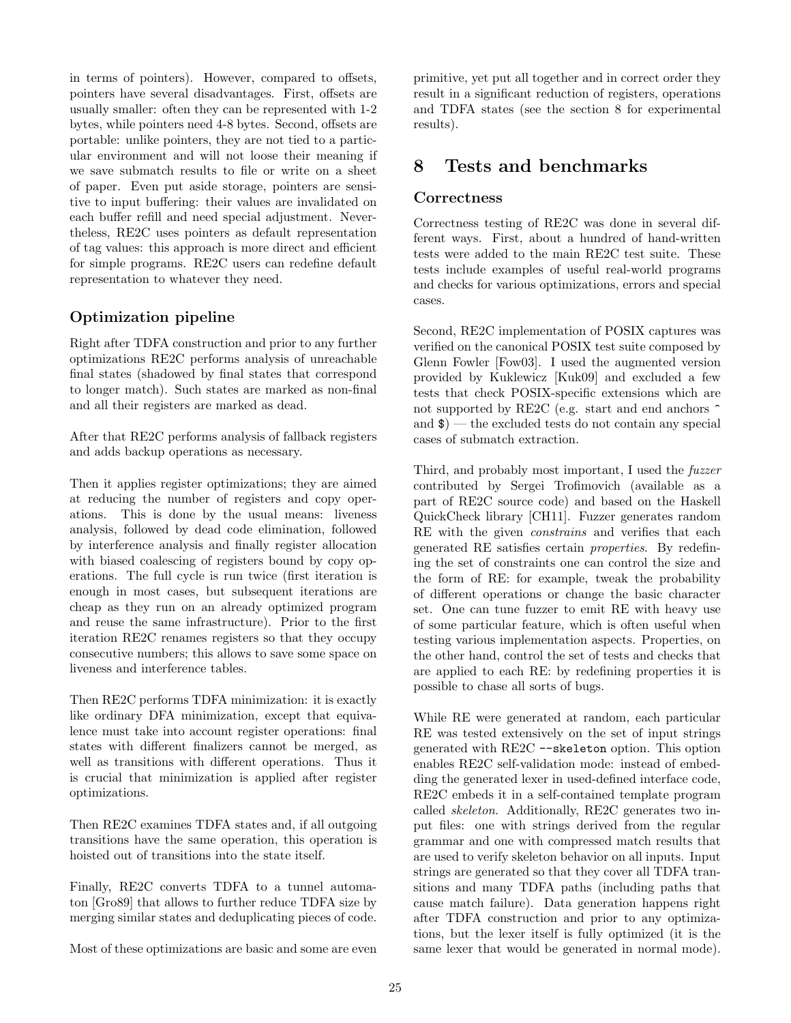in terms of pointers). However, compared to offsets, pointers have several disadvantages. First, offsets are usually smaller: often they can be represented with 1-2 bytes, while pointers need 4-8 bytes. Second, offsets are portable: unlike pointers, they are not tied to a particular environment and will not loose their meaning if we save submatch results to file or write on a sheet of paper. Even put aside storage, pointers are sensitive to input buffering: their values are invalidated on each buffer refill and need special adjustment. Nevertheless, RE2C uses pointers as default representation of tag values: this approach is more direct and efficient for simple programs. RE2C users can redefine default representation to whatever they need.

### Optimization pipeline

Right after TDFA construction and prior to any further optimizations RE2C performs analysis of unreachable final states (shadowed by final states that correspond to longer match). Such states are marked as non-final and all their registers are marked as dead.

After that RE2C performs analysis of fallback registers and adds backup operations as necessary.

Then it applies register optimizations; they are aimed at reducing the number of registers and copy operations. This is done by the usual means: liveness analysis, followed by dead code elimination, followed by interference analysis and finally register allocation with biased coalescing of registers bound by copy operations. The full cycle is run twice (first iteration is enough in most cases, but subsequent iterations are cheap as they run on an already optimized program and reuse the same infrastructure). Prior to the first iteration RE2C renames registers so that they occupy consecutive numbers; this allows to save some space on liveness and interference tables.

Then RE2C performs TDFA minimization: it is exactly like ordinary DFA minimization, except that equivalence must take into account register operations: final states with different finalizers cannot be merged, as well as transitions with different operations. Thus it is crucial that minimization is applied after register optimizations.

Then RE2C examines TDFA states and, if all outgoing transitions have the same operation, this operation is hoisted out of transitions into the state itself.

Finally, RE2C converts TDFA to a tunnel automaton [Gro89] that allows to further reduce TDFA size by merging similar states and deduplicating pieces of code.

Most of these optimizations are basic and some are even

primitive, yet put all together and in correct order they result in a significant reduction of registers, operations and TDFA states (see the section 8 for experimental results).

## 8 Tests and benchmarks

### **Correctness**

Correctness testing of RE2C was done in several different ways. First, about a hundred of hand-written tests were added to the main RE2C test suite. These tests include examples of useful real-world programs and checks for various optimizations, errors and special cases.

Second, RE2C implementation of POSIX captures was verified on the canonical POSIX test suite composed by Glenn Fowler [Fow03]. I used the augmented version provided by Kuklewicz [Kuk09] and excluded a few tests that check POSIX-specific extensions which are not supported by RE2C (e.g. start and end anchors  $\hat{ }$ and  $\phi$ ) — the excluded tests do not contain any special cases of submatch extraction.

Third, and probably most important, I used the fuzzer contributed by Sergei Trofimovich (available as a part of RE2C source code) and based on the Haskell QuickCheck library [CH11]. Fuzzer generates random RE with the given *constrains* and verifies that each generated RE satisfies certain properties. By redefining the set of constraints one can control the size and the form of RE: for example, tweak the probability of different operations or change the basic character set. One can tune fuzzer to emit RE with heavy use of some particular feature, which is often useful when testing various implementation aspects. Properties, on the other hand, control the set of tests and checks that are applied to each RE: by redefining properties it is possible to chase all sorts of bugs.

While RE were generated at random, each particular RE was tested extensively on the set of input strings generated with RE2C --skeleton option. This option enables RE2C self-validation mode: instead of embedding the generated lexer in used-defined interface code, RE2C embeds it in a self-contained template program called skeleton. Additionally, RE2C generates two input files: one with strings derived from the regular grammar and one with compressed match results that are used to verify skeleton behavior on all inputs. Input strings are generated so that they cover all TDFA transitions and many TDFA paths (including paths that cause match failure). Data generation happens right after TDFA construction and prior to any optimizations, but the lexer itself is fully optimized (it is the same lexer that would be generated in normal mode).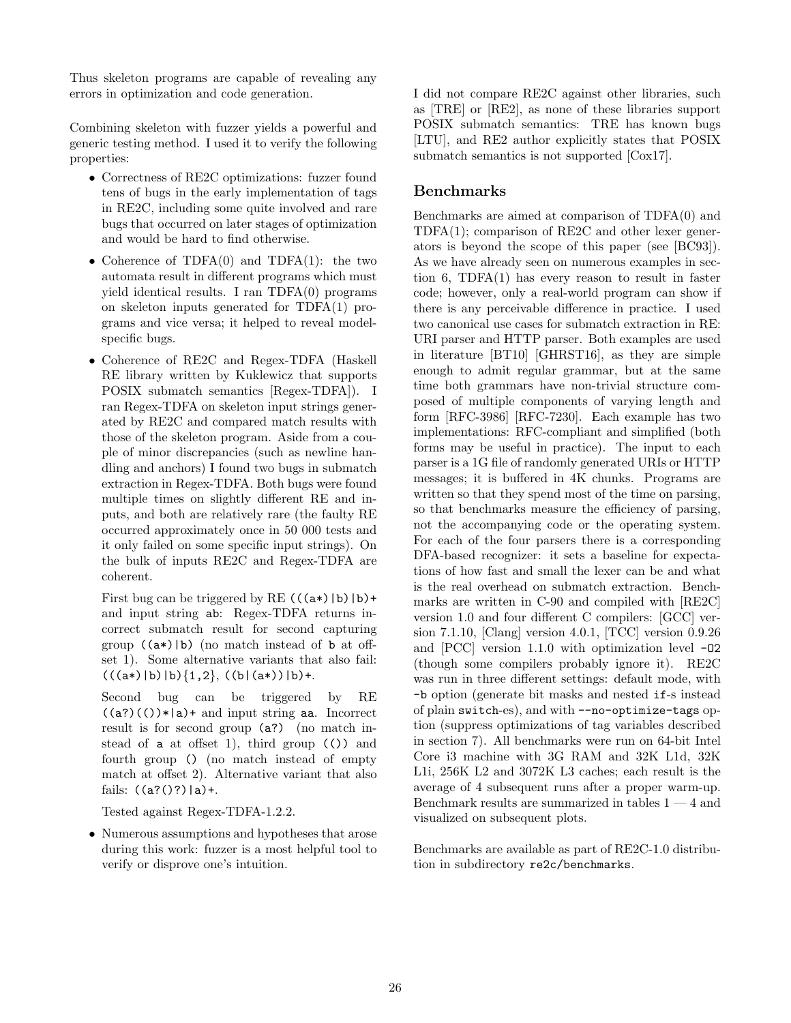Thus skeleton programs are capable of revealing any errors in optimization and code generation.

Combining skeleton with fuzzer yields a powerful and generic testing method. I used it to verify the following properties:

- Correctness of RE2C optimizations: fuzzer found tens of bugs in the early implementation of tags in RE2C, including some quite involved and rare bugs that occurred on later stages of optimization and would be hard to find otherwise.
- Coherence of TDFA(0) and TDFA(1): the two automata result in different programs which must yield identical results. I ran TDFA(0) programs on skeleton inputs generated for TDFA(1) programs and vice versa; it helped to reveal modelspecific bugs.
- Coherence of RE2C and Regex-TDFA (Haskell RE library written by Kuklewicz that supports POSIX submatch semantics [Regex-TDFA]). I ran Regex-TDFA on skeleton input strings generated by RE2C and compared match results with those of the skeleton program. Aside from a couple of minor discrepancies (such as newline handling and anchors) I found two bugs in submatch extraction in Regex-TDFA. Both bugs were found multiple times on slightly different RE and inputs, and both are relatively rare (the faulty RE occurred approximately once in 50 000 tests and it only failed on some specific input strings). On the bulk of inputs RE2C and Regex-TDFA are coherent.

First bug can be triggered by RE  $((a*)|b)|b$ + and input string ab: Regex-TDFA returns incorrect submatch result for second capturing group  $((a*)|b)$  (no match instead of b at offset 1). Some alternative variants that also fail:  $((a*)|b)|b\rangle\{1,2\}, ((b|(a*))|b)+$ .

Second bug can be triggered by RE  $((a?)(())*|a)+$  and input string aa. Incorrect result is for second group (a?) (no match instead of a at offset 1), third group (()) and fourth group () (no match instead of empty match at offset 2). Alternative variant that also fails:  $((a?()?)|a)+$ .

Tested against Regex-TDFA-1.2.2.

• Numerous assumptions and hypotheses that arose during this work: fuzzer is a most helpful tool to verify or disprove one's intuition.

I did not compare RE2C against other libraries, such as [TRE] or [RE2], as none of these libraries support POSIX submatch semantics: TRE has known bugs [LTU], and RE2 author explicitly states that POSIX submatch semantics is not supported [Cox17].

#### Benchmarks

Benchmarks are aimed at comparison of TDFA(0) and TDFA(1); comparison of RE2C and other lexer generators is beyond the scope of this paper (see [BC93]). As we have already seen on numerous examples in section 6, TDFA(1) has every reason to result in faster code; however, only a real-world program can show if there is any perceivable difference in practice. I used two canonical use cases for submatch extraction in RE: URI parser and HTTP parser. Both examples are used in literature [BT10] [GHRST16], as they are simple enough to admit regular grammar, but at the same time both grammars have non-trivial structure composed of multiple components of varying length and form [RFC-3986] [RFC-7230]. Each example has two implementations: RFC-compliant and simplified (both forms may be useful in practice). The input to each parser is a 1G file of randomly generated URIs or HTTP messages; it is buffered in 4K chunks. Programs are written so that they spend most of the time on parsing, so that benchmarks measure the efficiency of parsing, not the accompanying code or the operating system. For each of the four parsers there is a corresponding DFA-based recognizer: it sets a baseline for expectations of how fast and small the lexer can be and what is the real overhead on submatch extraction. Benchmarks are written in C-90 and compiled with [RE2C] version 1.0 and four different C compilers: [GCC] version 7.1.10, [Clang] version 4.0.1, [TCC] version 0.9.26 and [PCC] version 1.1.0 with optimization level -O2 (though some compilers probably ignore it). RE2C was run in three different settings: default mode, with -b option (generate bit masks and nested if-s instead of plain switch-es), and with --no-optimize-tags option (suppress optimizations of tag variables described in section 7). All benchmarks were run on 64-bit Intel Core i3 machine with 3G RAM and 32K L1d, 32K L1i, 256K L2 and 3072K L3 caches; each result is the average of 4 subsequent runs after a proper warm-up. Benchmark results are summarized in tables  $1 - 4$  and visualized on subsequent plots.

Benchmarks are available as part of RE2C-1.0 distribution in subdirectory re2c/benchmarks.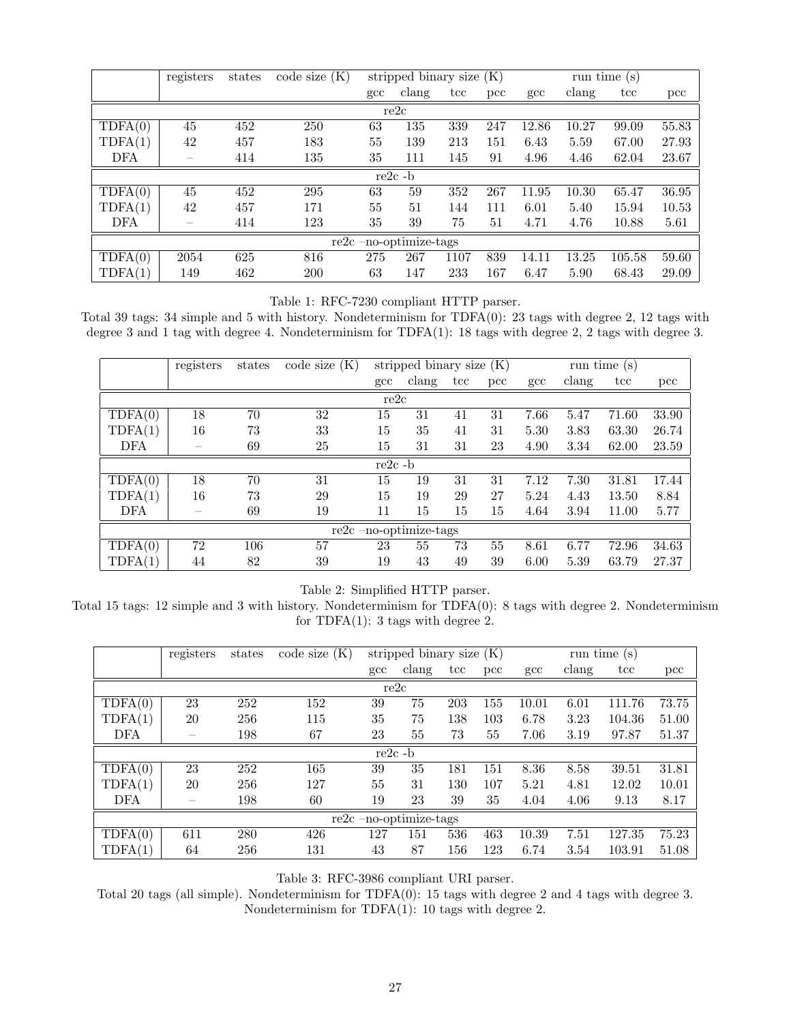|                          | registers                             | states | code size $(K)$ | stripped binary size $(K)$ |       |              |               | run time $(s)$ |       |        |               |
|--------------------------|---------------------------------------|--------|-----------------|----------------------------|-------|--------------|---------------|----------------|-------|--------|---------------|
|                          |                                       |        |                 | $_{\rm gcc}$               | clang | $_{\rm tcc}$ | $_{\rm{pcc}}$ | gcc            | clang | tcc    | $_{\rm{pcc}}$ |
| re2c                     |                                       |        |                 |                            |       |              |               |                |       |        |               |
| TDFA(0)                  | 45                                    | 452    | 250             | 63                         | 135   | 339          | 247           | 12.86          | 10.27 | 99.09  | 55.83         |
| TDFA(1)                  | 42                                    | 457    | 183             | 55                         | 139   | 213          | 151           | 6.43           | 5.59  | 67.00  | 27.93         |
| DFA                      | $\hspace{1.0cm} \rule{1.5cm}{0.15cm}$ | 414    | 135             | 35                         | 111   | 145          | 91            | 4.96           | 4.46  | 62.04  | 23.67         |
| $re2c - b$               |                                       |        |                 |                            |       |              |               |                |       |        |               |
| TDFA(0)                  | 45                                    | 452    | 295             | 63                         | 59    | 352          | 267           | 11.95          | 10.30 | 65.47  | 36.95         |
| TDFA(1)                  | 42                                    | 457    | 171             | 55                         | 51    | 144          | 111           | 6.01           | 5.40  | 15.94  | 10.53         |
| DFA                      | $\overline{\phantom{a}}$              | 414    | 123             | 35                         | 39    | 75           | 51            | 4.71           | 4.76  | 10.88  | 5.61          |
| $re2c$ -no-optimize-tags |                                       |        |                 |                            |       |              |               |                |       |        |               |
| TDFA(0)                  | 2054                                  | 625    | 816             | 275                        | 267   | 1107         | 839           | 14.11          | 13.25 | 105.58 | 59.60         |
| $\text{TDFA}(1)$         | 149                                   | 462    | 200             | 63                         | 147   | 233          | 167           | 6.47           | 5.90  | 68.43  | 29.09         |

Table 1: RFC-7230 compliant HTTP parser.

Total 39 tags: 34 simple and 5 with history. Nondeterminism for TDFA(0): 23 tags with degree 2, 12 tags with degree 3 and 1 tag with degree 4. Nondeterminism for TDFA(1): 18 tags with degree 2, 2 tags with degree 3.

|                          | registers | states | code size $(K)$ |              | stripped binary size $(K)$ |              |               | run time $(s)$ |                 |       |               |
|--------------------------|-----------|--------|-----------------|--------------|----------------------------|--------------|---------------|----------------|-----------------|-------|---------------|
|                          |           |        |                 | $_{\rm gcc}$ | $\alpha$                   | $_{\rm tcc}$ | $_{\rm{pcc}}$ | $_{\rm gcc}$   | $_{\rm{clang}}$ | tcc   | $_{\rm{pcc}}$ |
| re2c                     |           |        |                 |              |                            |              |               |                |                 |       |               |
| TDFA(0)                  | 18        | 70     | 32              | 15           | 31                         | 41           | 31            | 7.66           | 5.47            | 71.60 | 33.90         |
| TDFA(1)                  | 16        | 73     | 33              | 15           | 35                         | 41           | 31            | 5.30           | 3.83            | 63.30 | 26.74         |
| <b>DFA</b>               |           | 69     | 25              | 15           | 31                         | 31           | 23            | 4.90           | 3.34            | 62.00 | 23.59         |
| $re2c - b$               |           |        |                 |              |                            |              |               |                |                 |       |               |
| TDFA(0)                  | 18        | 70     | 31              | 15           | 19                         | 31           | 31            | 7.12           | 7.30            | 31.81 | 17.44         |
| TDFA(1)                  | 16        | 73     | 29              | 15           | 19                         | 29           | 27            | 5.24           | 4.43            | 13.50 | 8.84          |
| DFA                      |           | 69     | 19              | 11           | 15                         | 15           | 15            | 4.64           | 3.94            | 11.00 | 5.77          |
| $re2c$ -no-optimize-tags |           |        |                 |              |                            |              |               |                |                 |       |               |
| TDFA(0)                  | 72        | 106    | 57              | 23           | 55                         | 73           | 55            | 8.61           | 6.77            | 72.96 | 34.63         |
| TDFA(1)                  | 44        | 82     | 39              | 19           | 43                         | 49           | 39            | 6.00           | 5.39            | 63.79 | 27.37         |

Table 2: Simplified HTTP parser.

Total 15 tags: 12 simple and 3 with history. Nondeterminism for TDFA(0): 8 tags with degree 2. Nondeterminism for TDFA $(1)$ : 3 tags with degree 2.

|                          | registers | states | code size $(K)$ | stripped binary size $(K)$ |       |              |               | run time $(s)$ |                 |        |               |
|--------------------------|-----------|--------|-----------------|----------------------------|-------|--------------|---------------|----------------|-----------------|--------|---------------|
|                          |           |        |                 | $_{\rm gcc}$               | clang | $_{\rm tcc}$ | $_{\rm{pcc}}$ | $_{\rm gcc}$   | $_{\rm{clang}}$ | tcc    | $_{\rm{pcc}}$ |
| re2c                     |           |        |                 |                            |       |              |               |                |                 |        |               |
| TDFA(0)                  | 23        | 252    | 152             | 39                         | 75    | 203          | 155           | 10.01          | 6.01            | 111.76 | 73.75         |
| TDFA(1)                  | 20        | 256    | 115             | 35                         | 75    | 138          | 103           | 6.78           | 3.23            | 104.36 | 51.00         |
| <b>DFA</b>               |           | 198    | 67              | 23                         | 55    | 73           | 55            | 7.06           | 3.19            | 97.87  | 51.37         |
| $re2c - b$               |           |        |                 |                            |       |              |               |                |                 |        |               |
| TDFA(0)                  | 23        | 252    | 165             | 39                         | 35    | 181          | 151           | 8.36           | 8.58            | 39.51  | 31.81         |
| TDFA(1)                  | 20        | 256    | 127             | 55                         | 31    | 130          | 107           | 5.21           | 4.81            | 12.02  | 10.01         |
| DFA                      |           | 198    | 60              | 19                         | 23    | 39           | 35            | 4.04           | 4.06            | 9.13   | 8.17          |
| $re2c$ -no-optimize-tags |           |        |                 |                            |       |              |               |                |                 |        |               |
| TDFA(0)                  | 611       | 280    | 426             | 127                        | 151   | 536          | 463           | 10.39          | 7.51            | 127.35 | 75.23         |
| TDFA(1)                  | 64        | 256    | 131             | 43                         | 87    | 156          | 123           | 6.74           | 3.54            | 103.91 | 51.08         |

Table 3: RFC-3986 compliant URI parser.

Total 20 tags (all simple). Nondeterminism for TDFA(0): 15 tags with degree 2 and 4 tags with degree 3. Nondeterminism for TDFA(1): 10 tags with degree 2.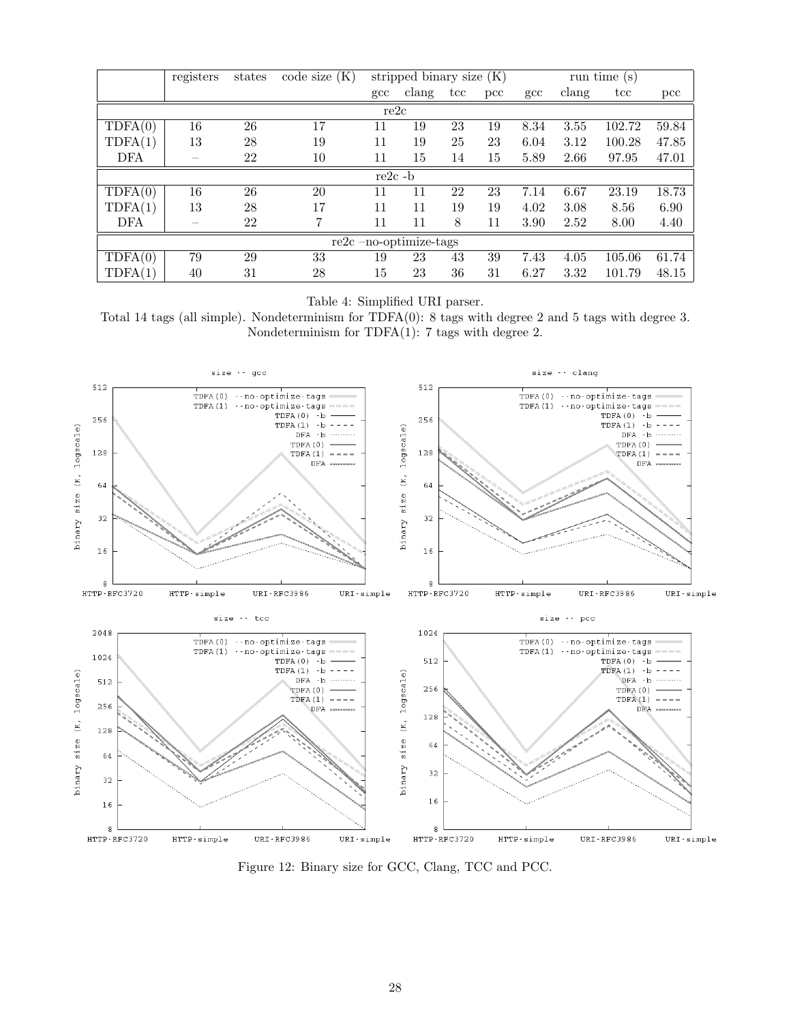|                          | registers | states | code size (K) |              | stripped binary size $(K)$ |              |              | run time $(s)$ |       |                 |              |
|--------------------------|-----------|--------|---------------|--------------|----------------------------|--------------|--------------|----------------|-------|-----------------|--------------|
|                          |           |        |               | $_{\rm gcc}$ | clang                      | $_{\rm tcc}$ | $_{\rm pcc}$ | $_{\rm gcc}$   | clang | $_{\text{tcc}}$ | $_{\rm pcc}$ |
| re2c                     |           |        |               |              |                            |              |              |                |       |                 |              |
| TDFA(0)                  | 16        | 26     | 17            | 11           | 19                         | 23           | 19           | 8.34           | 3.55  | 102.72          | 59.84        |
| TDFA(1)                  | 13        | 28     | 19            | 11           | 19                         | 25           | 23           | 6.04           | 3.12  | 100.28          | 47.85        |
| <b>DFA</b>               |           | 22     | 10            | 11           | 15                         | 14           | 15           | 5.89           | 2.66  | 97.95           | 47.01        |
| $re2c - b$               |           |        |               |              |                            |              |              |                |       |                 |              |
| TDFA(0)                  | 16        | 26     | 20            | 11           | 11                         | 22           | 23           | 7.14           | 6.67  | 23.19           | 18.73        |
| TDFA(1)                  | 13        | 28     | 17            | 11           | 11                         | 19           | 19           | 4.02           | 3.08  | 8.56            | 6.90         |
| DFA                      | -         | 22     | 7             | 11           | 11                         | 8            | 11           | 3.90           | 2.52  | 8.00            | 4.40         |
| $re2c$ -no-optimize-tags |           |        |               |              |                            |              |              |                |       |                 |              |
| TDFA(0)                  | 79        | 29     | 33            | 19           | 23                         | 43           | 39           | 7.43           | 4.05  | 105.06          | 61.74        |
| TDFA(1)                  | 40        | 31     | 28            | 15           | 23                         | 36           | 31           | 6.27           | 3.32  | 101.79          | 48.15        |

Table 4: Simplified URI parser.

Total 14 tags (all simple). Nondeterminism for TDFA(0): 8 tags with degree 2 and 5 tags with degree 3. Nondeterminism for TDFA(1): 7 tags with degree 2.



Figure 12: Binary size for GCC, Clang, TCC and PCC.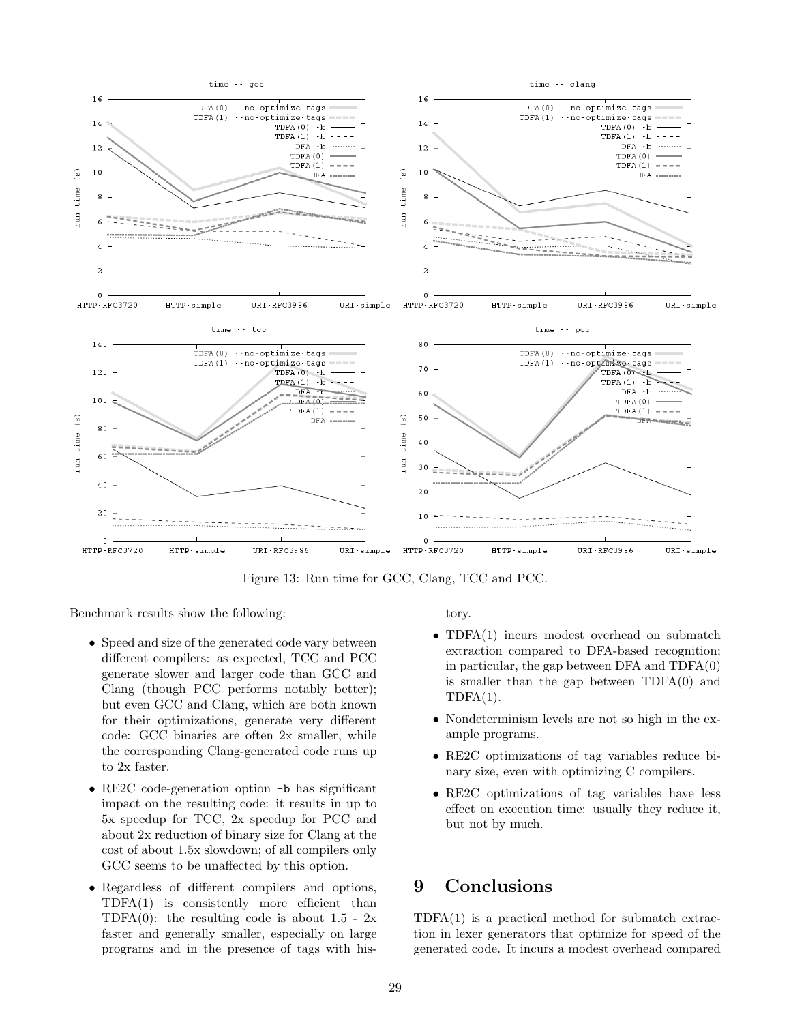

Figure 13: Run time for GCC, Clang, TCC and PCC.

Benchmark results show the following:

- Speed and size of the generated code vary between different compilers: as expected, TCC and PCC generate slower and larger code than GCC and Clang (though PCC performs notably better); but even GCC and Clang, which are both known for their optimizations, generate very different code: GCC binaries are often 2x smaller, while the corresponding Clang-generated code runs up to 2x faster.
- RE2C code-generation option -b has significant impact on the resulting code: it results in up to 5x speedup for TCC, 2x speedup for PCC and about 2x reduction of binary size for Clang at the cost of about 1.5x slowdown; of all compilers only GCC seems to be unaffected by this option.
- Regardless of different compilers and options, TDFA(1) is consistently more efficient than TDFA $(0)$ : the resulting code is about 1.5 - 2x faster and generally smaller, especially on large programs and in the presence of tags with his-

tory.

- TDFA(1) incurs modest overhead on submatch extraction compared to DFA-based recognition; in particular, the gap between DFA and TDFA(0) is smaller than the gap between TDFA(0) and  $TDFA(1)$ .
- Nondeterminism levels are not so high in the example programs.
- RE2C optimizations of tag variables reduce binary size, even with optimizing C compilers.
- RE2C optimizations of tag variables have less effect on execution time: usually they reduce it, but not by much.

## 9 Conclusions

 $TDFA(1)$  is a practical method for submatch extraction in lexer generators that optimize for speed of the generated code. It incurs a modest overhead compared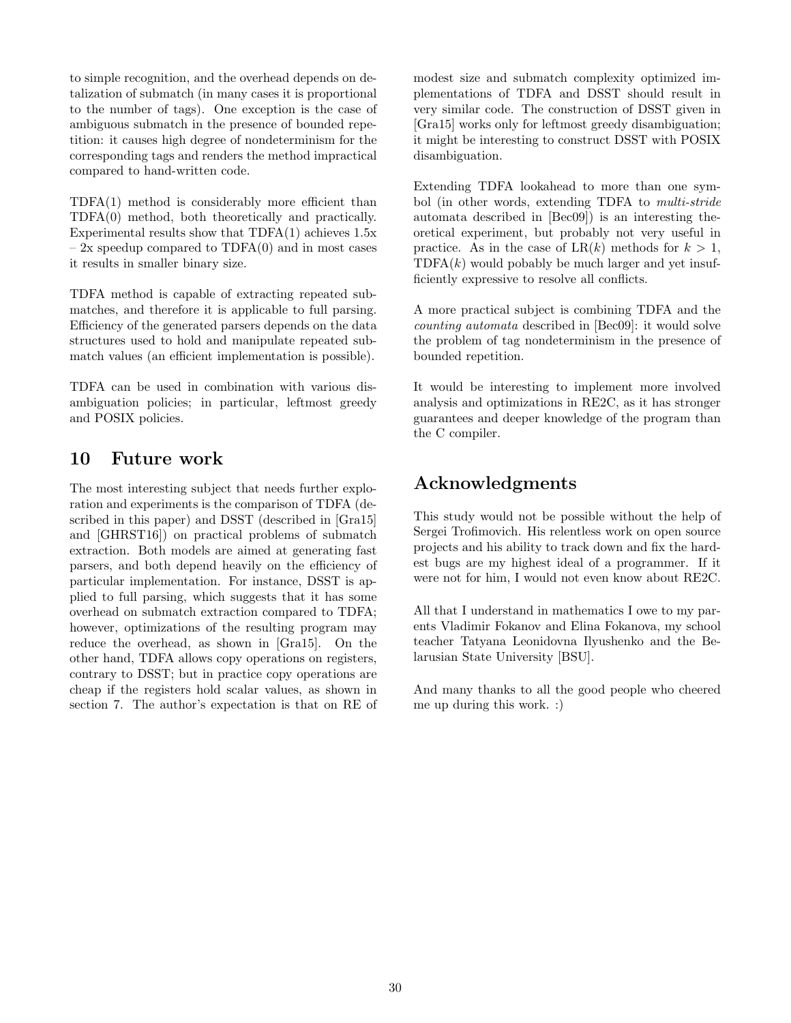to simple recognition, and the overhead depends on detalization of submatch (in many cases it is proportional to the number of tags). One exception is the case of ambiguous submatch in the presence of bounded repetition: it causes high degree of nondeterminism for the corresponding tags and renders the method impractical compared to hand-written code.

TDFA(1) method is considerably more efficient than TDFA(0) method, both theoretically and practically. Experimental results show that  $TDFA(1)$  achieves 1.5x  $-2x$  speedup compared to TDFA $(0)$  and in most cases it results in smaller binary size.

TDFA method is capable of extracting repeated submatches, and therefore it is applicable to full parsing. Efficiency of the generated parsers depends on the data structures used to hold and manipulate repeated submatch values (an efficient implementation is possible).

TDFA can be used in combination with various disambiguation policies; in particular, leftmost greedy and POSIX policies.

## 10 Future work

The most interesting subject that needs further exploration and experiments is the comparison of TDFA (described in this paper) and DSST (described in [Gra15] and [GHRST16]) on practical problems of submatch extraction. Both models are aimed at generating fast parsers, and both depend heavily on the efficiency of particular implementation. For instance, DSST is applied to full parsing, which suggests that it has some overhead on submatch extraction compared to TDFA; however, optimizations of the resulting program may reduce the overhead, as shown in [Gra15]. On the other hand, TDFA allows copy operations on registers, contrary to DSST; but in practice copy operations are cheap if the registers hold scalar values, as shown in section 7. The author's expectation is that on RE of

modest size and submatch complexity optimized implementations of TDFA and DSST should result in very similar code. The construction of DSST given in [Gra15] works only for leftmost greedy disambiguation; it might be interesting to construct DSST with POSIX disambiguation.

Extending TDFA lookahead to more than one symbol (in other words, extending TDFA to multi-stride automata described in [Bec09]) is an interesting theoretical experiment, but probably not very useful in practice. As in the case of  $LR(k)$  methods for  $k > 1$ ,  $TDFA(k)$  would pobably be much larger and yet insufficiently expressive to resolve all conflicts.

A more practical subject is combining TDFA and the counting automata described in [Bec09]: it would solve the problem of tag nondeterminism in the presence of bounded repetition.

It would be interesting to implement more involved analysis and optimizations in RE2C, as it has stronger guarantees and deeper knowledge of the program than the C compiler.

# Acknowledgments

This study would not be possible without the help of Sergei Trofimovich. His relentless work on open source projects and his ability to track down and fix the hardest bugs are my highest ideal of a programmer. If it were not for him, I would not even know about RE2C.

All that I understand in mathematics I owe to my parents Vladimir Fokanov and Elina Fokanova, my school teacher Tatyana Leonidovna Ilyushenko and the Belarusian State University [BSU].

And many thanks to all the good people who cheered me up during this work. :)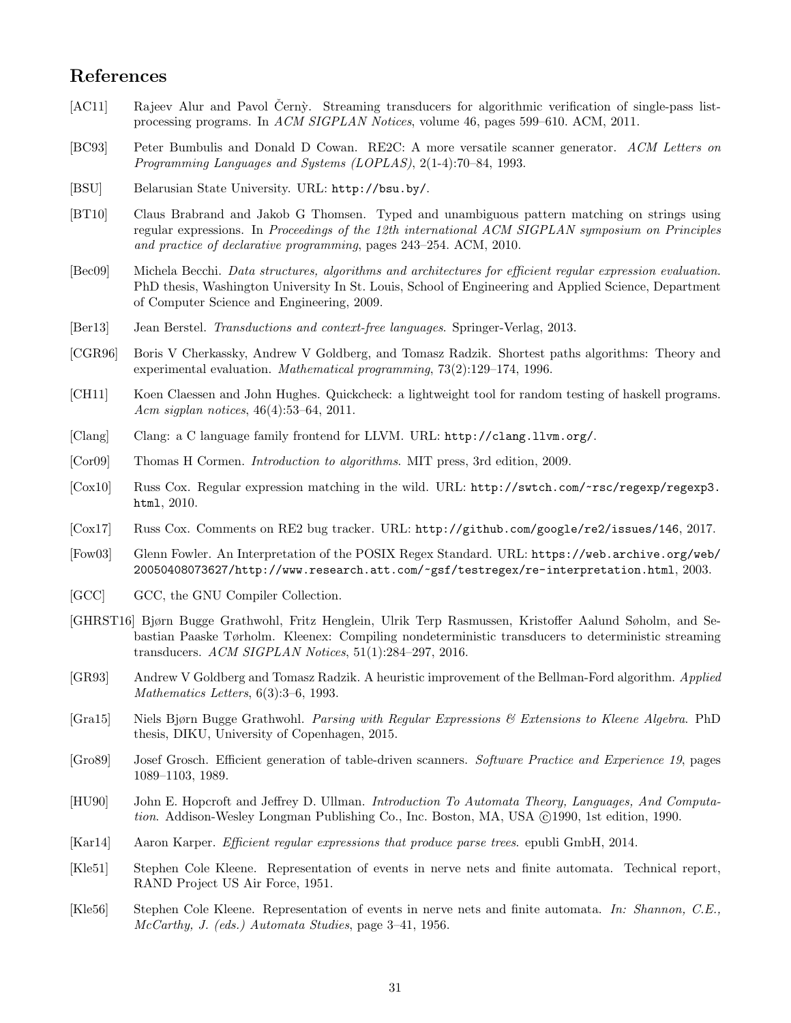## References

- [AC11] Rajeev Alur and Pavol Černỳ. Streaming transducers for algorithmic verification of single-pass listprocessing programs. In ACM SIGPLAN Notices, volume 46, pages 599–610. ACM, 2011.
- [BC93] Peter Bumbulis and Donald D Cowan. RE2C: A more versatile scanner generator. ACM Letters on Programming Languages and Systems (LOPLAS), 2(1-4):70–84, 1993.
- [BSU] Belarusian State University. URL: http://bsu.by/.
- [BT10] Claus Brabrand and Jakob G Thomsen. Typed and unambiguous pattern matching on strings using regular expressions. In Proceedings of the 12th international ACM SIGPLAN symposium on Principles and practice of declarative programming, pages 243–254. ACM, 2010.
- [Bec09] Michela Becchi. Data structures, algorithms and architectures for efficient regular expression evaluation. PhD thesis, Washington University In St. Louis, School of Engineering and Applied Science, Department of Computer Science and Engineering, 2009.
- [Ber13] Jean Berstel. Transductions and context-free languages. Springer-Verlag, 2013.
- [CGR96] Boris V Cherkassky, Andrew V Goldberg, and Tomasz Radzik. Shortest paths algorithms: Theory and experimental evaluation. Mathematical programming, 73(2):129–174, 1996.
- [CH11] Koen Claessen and John Hughes. Quickcheck: a lightweight tool for random testing of haskell programs. Acm sigplan notices, 46(4):53–64, 2011.
- [Clang] Clang: a C language family frontend for LLVM. URL: http://clang.llvm.org/.
- [Cor09] Thomas H Cormen. Introduction to algorithms. MIT press, 3rd edition, 2009.
- [Cox10] Russ Cox. Regular expression matching in the wild. URL: http://swtch.com/~rsc/regexp/regexp3. html, 2010.
- [Cox17] Russ Cox. Comments on RE2 bug tracker. URL: http://github.com/google/re2/issues/146, 2017.
- [Fow03] Glenn Fowler. An Interpretation of the POSIX Regex Standard. URL: https://web.archive.org/web/ 20050408073627/http://www.research.att.com/~gsf/testregex/re-interpretation.html, 2003.
- [GCC] GCC, the GNU Compiler Collection.
- [GHRST16] Bjørn Bugge Grathwohl, Fritz Henglein, Ulrik Terp Rasmussen, Kristoffer Aalund Søholm, and Sebastian Paaske Tørholm. Kleenex: Compiling nondeterministic transducers to deterministic streaming transducers. ACM SIGPLAN Notices, 51(1):284–297, 2016.
- [GR93] Andrew V Goldberg and Tomasz Radzik. A heuristic improvement of the Bellman-Ford algorithm. Applied Mathematics Letters, 6(3):3–6, 1993.
- [Gra15] Niels Bjørn Bugge Grathwohl. Parsing with Regular Expressions & Extensions to Kleene Algebra. PhD thesis, DIKU, University of Copenhagen, 2015.
- [Gro89] Josef Grosch. Efficient generation of table-driven scanners. Software Practice and Experience 19, pages 1089–1103, 1989.
- [HU90] John E. Hopcroft and Jeffrey D. Ullman. Introduction To Automata Theory, Languages, And Computation. Addison-Wesley Longman Publishing Co., Inc. Boston, MA, USA ( $\odot$ 1990, 1st edition, 1990.
- [Kar14] Aaron Karper. Efficient regular expressions that produce parse trees. epubli GmbH, 2014.
- [Kle51] Stephen Cole Kleene. Representation of events in nerve nets and finite automata. Technical report, RAND Project US Air Force, 1951.
- [Kle56] Stephen Cole Kleene. Representation of events in nerve nets and finite automata. In: Shannon, C.E., McCarthy, J. (eds.) Automata Studies, page 3–41, 1956.